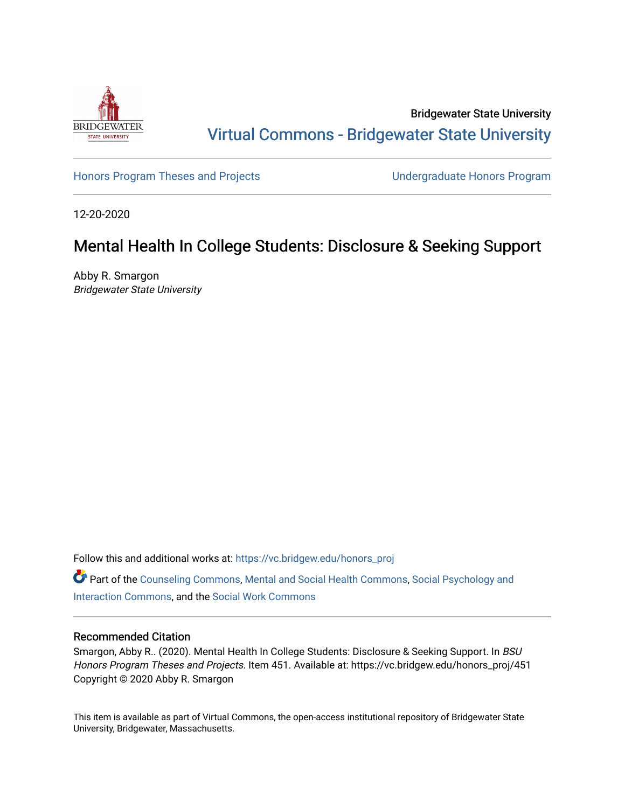

Bridgewater State University [Virtual Commons - Bridgewater State University](https://vc.bridgew.edu/) 

[Honors Program Theses and Projects](https://vc.bridgew.edu/honors_proj) [Undergraduate Honors Program](https://vc.bridgew.edu/honors) 

12-20-2020

# Mental Health In College Students: Disclosure & Seeking Support

Abby R. Smargon Bridgewater State University

Follow this and additional works at: [https://vc.bridgew.edu/honors\\_proj](https://vc.bridgew.edu/honors_proj?utm_source=vc.bridgew.edu%2Fhonors_proj%2F451&utm_medium=PDF&utm_campaign=PDFCoverPages)

Part of the [Counseling Commons,](http://network.bepress.com/hgg/discipline/1268?utm_source=vc.bridgew.edu%2Fhonors_proj%2F451&utm_medium=PDF&utm_campaign=PDFCoverPages) [Mental and Social Health Commons](http://network.bepress.com/hgg/discipline/709?utm_source=vc.bridgew.edu%2Fhonors_proj%2F451&utm_medium=PDF&utm_campaign=PDFCoverPages), [Social Psychology and](http://network.bepress.com/hgg/discipline/430?utm_source=vc.bridgew.edu%2Fhonors_proj%2F451&utm_medium=PDF&utm_campaign=PDFCoverPages)  [Interaction Commons](http://network.bepress.com/hgg/discipline/430?utm_source=vc.bridgew.edu%2Fhonors_proj%2F451&utm_medium=PDF&utm_campaign=PDFCoverPages), and the [Social Work Commons](http://network.bepress.com/hgg/discipline/713?utm_source=vc.bridgew.edu%2Fhonors_proj%2F451&utm_medium=PDF&utm_campaign=PDFCoverPages)

### Recommended Citation

Smargon, Abby R.. (2020). Mental Health In College Students: Disclosure & Seeking Support. In BSU Honors Program Theses and Projects. Item 451. Available at: https://vc.bridgew.edu/honors\_proj/451 Copyright © 2020 Abby R. Smargon

This item is available as part of Virtual Commons, the open-access institutional repository of Bridgewater State University, Bridgewater, Massachusetts.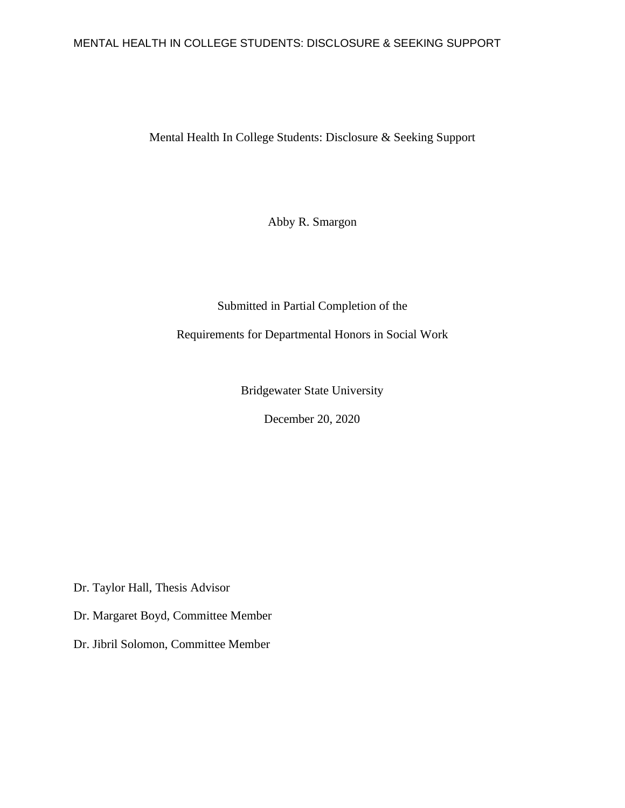### MENTAL HEALTH IN COLLEGE STUDENTS: DISCLOSURE & SEEKING SUPPORT

Mental Health In College Students: Disclosure & Seeking Support

Abby R. Smargon

### Submitted in Partial Completion of the

Requirements for Departmental Honors in Social Work

Bridgewater State University

December 20, 2020

Dr. Taylor Hall, Thesis Advisor

Dr. Margaret Boyd, Committee Member

Dr. Jibril Solomon, Committee Member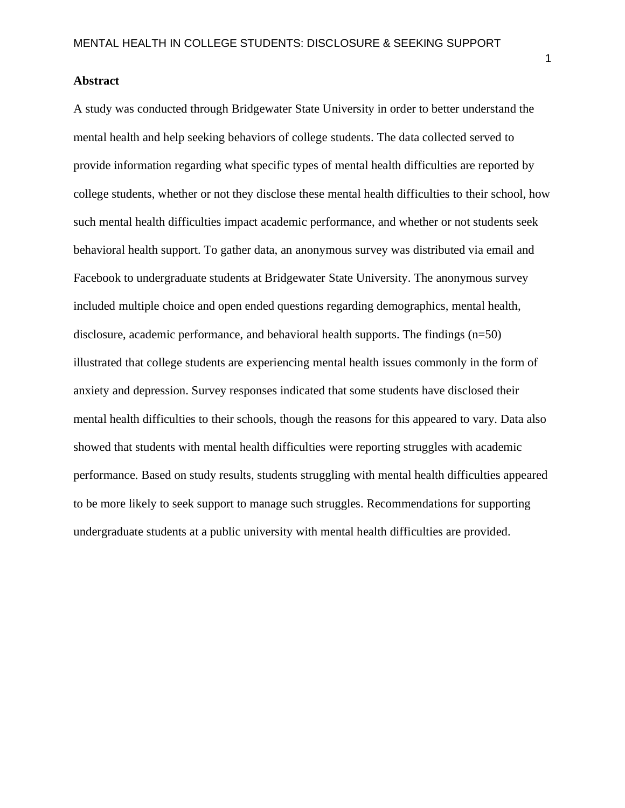### **Abstract**

A study was conducted through Bridgewater State University in order to better understand the mental health and help seeking behaviors of college students. The data collected served to provide information regarding what specific types of mental health difficulties are reported by college students, whether or not they disclose these mental health difficulties to their school, how such mental health difficulties impact academic performance, and whether or not students seek behavioral health support. To gather data, an anonymous survey was distributed via email and Facebook to undergraduate students at Bridgewater State University. The anonymous survey included multiple choice and open ended questions regarding demographics, mental health, disclosure, academic performance, and behavioral health supports. The findings (n=50) illustrated that college students are experiencing mental health issues commonly in the form of anxiety and depression. Survey responses indicated that some students have disclosed their mental health difficulties to their schools, though the reasons for this appeared to vary. Data also showed that students with mental health difficulties were reporting struggles with academic performance. Based on study results, students struggling with mental health difficulties appeared to be more likely to seek support to manage such struggles. Recommendations for supporting undergraduate students at a public university with mental health difficulties are provided.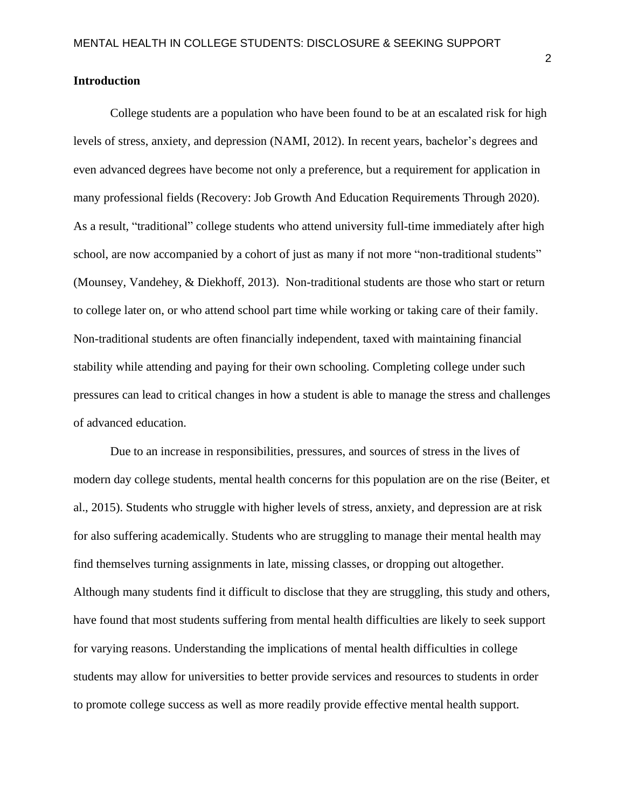### **Introduction**

College students are a population who have been found to be at an escalated risk for high levels of stress, anxiety, and depression (NAMI, 2012). In recent years, bachelor's degrees and even advanced degrees have become not only a preference, but a requirement for application in many professional fields (Recovery: Job Growth And Education Requirements Through 2020). As a result, "traditional" college students who attend university full-time immediately after high school, are now accompanied by a cohort of just as many if not more "non-traditional students" (Mounsey, Vandehey, & Diekhoff, 2013). Non-traditional students are those who start or return to college later on, or who attend school part time while working or taking care of their family. Non-traditional students are often financially independent, taxed with maintaining financial stability while attending and paying for their own schooling. Completing college under such pressures can lead to critical changes in how a student is able to manage the stress and challenges of advanced education.

Due to an increase in responsibilities, pressures, and sources of stress in the lives of modern day college students, mental health concerns for this population are on the rise (Beiter, et al., 2015). Students who struggle with higher levels of stress, anxiety, and depression are at risk for also suffering academically. Students who are struggling to manage their mental health may find themselves turning assignments in late, missing classes, or dropping out altogether. Although many students find it difficult to disclose that they are struggling, this study and others, have found that most students suffering from mental health difficulties are likely to seek support for varying reasons. Understanding the implications of mental health difficulties in college students may allow for universities to better provide services and resources to students in order to promote college success as well as more readily provide effective mental health support.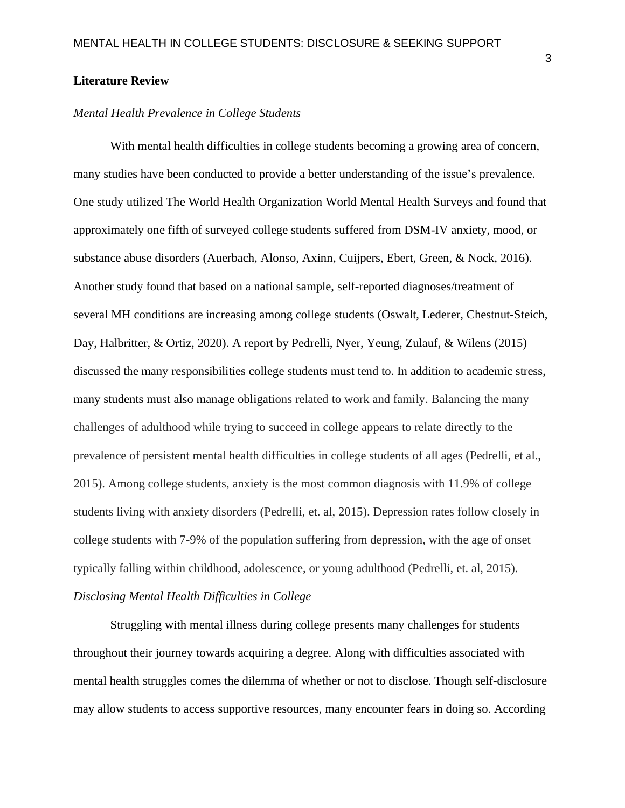#### **Literature Review**

### *Mental Health Prevalence in College Students*

With mental health difficulties in college students becoming a growing area of concern, many studies have been conducted to provide a better understanding of the issue's prevalence. One study utilized The World Health Organization World Mental Health Surveys and found that approximately one fifth of surveyed college students suffered from DSM-IV anxiety, mood, or substance abuse disorders (Auerbach, Alonso, Axinn, Cuijpers, Ebert, Green, & Nock, 2016). Another study found that based on a national sample, self-reported diagnoses/treatment of several MH conditions are increasing among college students (Oswalt, Lederer, Chestnut-Steich, Day, Halbritter, & Ortiz, 2020). A report by Pedrelli, Nyer, Yeung, Zulauf, & Wilens (2015) discussed the many responsibilities college students must tend to. In addition to academic stress, many students must also manage obligations related to work and family. Balancing the many challenges of adulthood while trying to succeed in college appears to relate directly to the prevalence of persistent mental health difficulties in college students of all ages (Pedrelli, et al., 2015). Among college students, anxiety is the most common diagnosis with 11.9% of college students living with anxiety disorders (Pedrelli, et. al, 2015). Depression rates follow closely in college students with 7-9% of the population suffering from depression, with the age of onset typically falling within childhood, adolescence, or young adulthood (Pedrelli, et. al, 2015). *Disclosing Mental Health Difficulties in College*

Struggling with mental illness during college presents many challenges for students throughout their journey towards acquiring a degree. Along with difficulties associated with mental health struggles comes the dilemma of whether or not to disclose. Though self-disclosure may allow students to access supportive resources, many encounter fears in doing so. According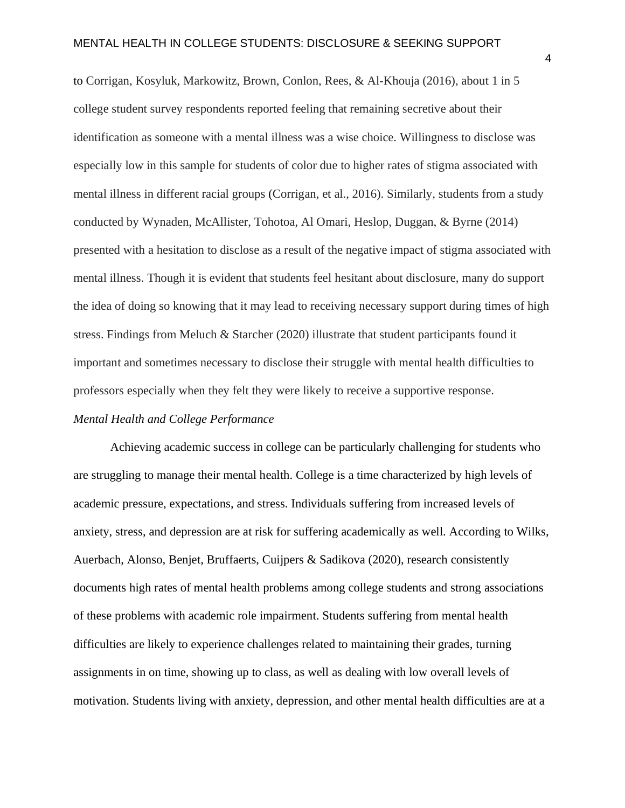to Corrigan, Kosyluk, Markowitz, Brown, Conlon, Rees, & Al-Khouja (2016), about 1 in 5 college student survey respondents reported feeling that remaining secretive about their identification as someone with a mental illness was a wise choice. Willingness to disclose was especially low in this sample for students of color due to higher rates of stigma associated with mental illness in different racial groups (Corrigan, et al., 2016). Similarly, students from a study conducted by Wynaden, McAllister, Tohotoa, Al Omari, Heslop, Duggan, & Byrne (2014) presented with a hesitation to disclose as a result of the negative impact of stigma associated with mental illness. Though it is evident that students feel hesitant about disclosure, many do support the idea of doing so knowing that it may lead to receiving necessary support during times of high stress. Findings from Meluch & Starcher (2020) illustrate that student participants found it important and sometimes necessary to disclose their struggle with mental health difficulties to professors especially when they felt they were likely to receive a supportive response.

### *Mental Health and College Performance*

Achieving academic success in college can be particularly challenging for students who are struggling to manage their mental health. College is a time characterized by high levels of academic pressure, expectations, and stress. Individuals suffering from increased levels of anxiety, stress, and depression are at risk for suffering academically as well. According to Wilks, Auerbach, Alonso, Benjet, Bruffaerts, Cuijpers & Sadikova (2020), research consistently documents high rates of mental health problems among college students and strong associations of these problems with academic role impairment. Students suffering from mental health difficulties are likely to experience challenges related to maintaining their grades, turning assignments in on time, showing up to class, as well as dealing with low overall levels of motivation. Students living with anxiety, depression, and other mental health difficulties are at a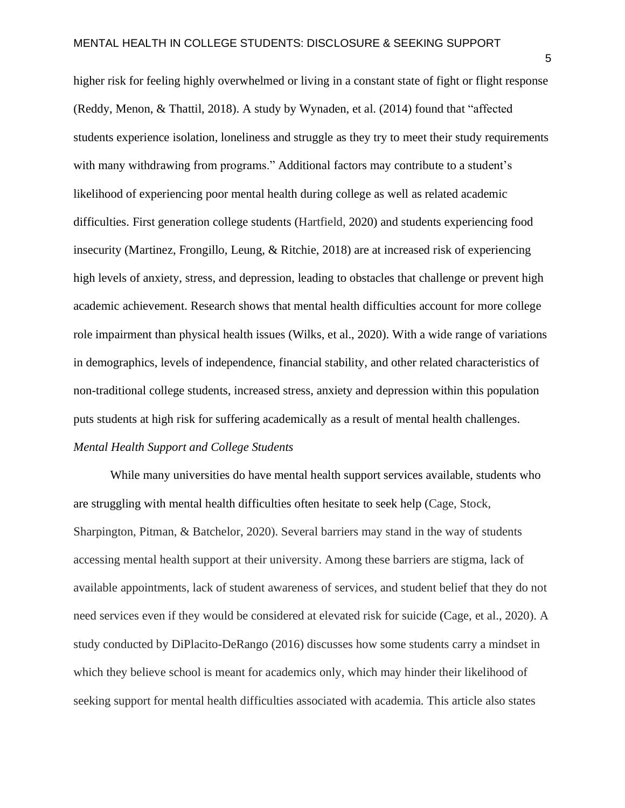higher risk for feeling highly overwhelmed or living in a constant state of fight or flight response (Reddy, Menon, & Thattil, 2018). A study by Wynaden, et al. (2014) found that "affected students experience isolation, loneliness and struggle as they try to meet their study requirements with many withdrawing from programs." Additional factors may contribute to a student's likelihood of experiencing poor mental health during college as well as related academic difficulties. First generation college students (Hartfield, 2020) and students experiencing food insecurity (Martinez, Frongillo, Leung, & Ritchie, 2018) are at increased risk of experiencing high levels of anxiety, stress, and depression, leading to obstacles that challenge or prevent high academic achievement. Research shows that mental health difficulties account for more college role impairment than physical health issues (Wilks, et al., 2020). With a wide range of variations in demographics, levels of independence, financial stability, and other related characteristics of non-traditional college students, increased stress, anxiety and depression within this population puts students at high risk for suffering academically as a result of mental health challenges. *Mental Health Support and College Students*

While many universities do have mental health support services available, students who are struggling with mental health difficulties often hesitate to seek help (Cage, Stock, Sharpington, Pitman, & Batchelor, 2020). Several barriers may stand in the way of students accessing mental health support at their university. Among these barriers are stigma, lack of available appointments, lack of student awareness of services, and student belief that they do not need services even if they would be considered at elevated risk for suicide (Cage, et al., 2020). A study conducted by DiPlacito-DeRango (2016) discusses how some students carry a mindset in which they believe school is meant for academics only, which may hinder their likelihood of seeking support for mental health difficulties associated with academia. This article also states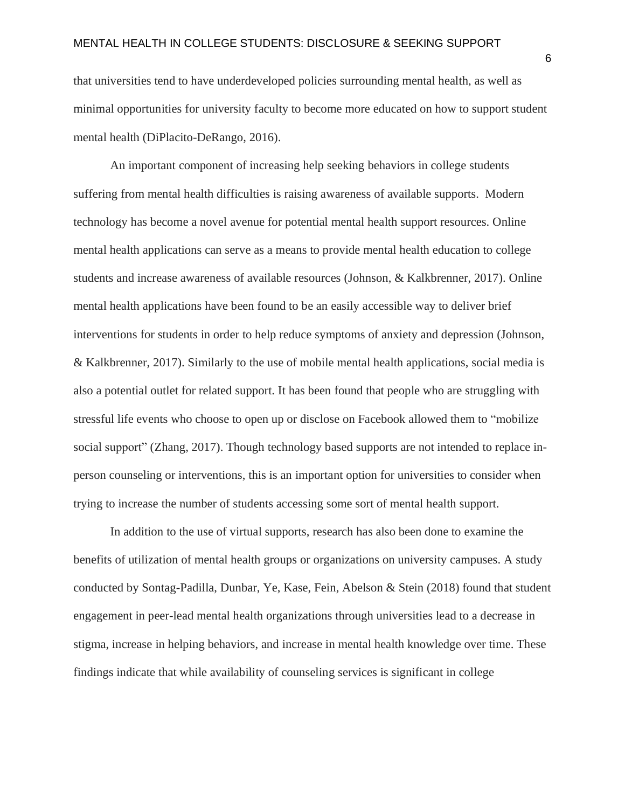that universities tend to have underdeveloped policies surrounding mental health, as well as minimal opportunities for university faculty to become more educated on how to support student mental health (DiPlacito-DeRango, 2016).

An important component of increasing help seeking behaviors in college students suffering from mental health difficulties is raising awareness of available supports. Modern technology has become a novel avenue for potential mental health support resources. Online mental health applications can serve as a means to provide mental health education to college students and increase awareness of available resources (Johnson, & Kalkbrenner, 2017). Online mental health applications have been found to be an easily accessible way to deliver brief interventions for students in order to help reduce symptoms of anxiety and depression (Johnson, & Kalkbrenner, 2017). Similarly to the use of mobile mental health applications, social media is also a potential outlet for related support. It has been found that people who are struggling with stressful life events who choose to open up or disclose on Facebook allowed them to "mobilize social support" (Zhang, 2017). Though technology based supports are not intended to replace inperson counseling or interventions, this is an important option for universities to consider when trying to increase the number of students accessing some sort of mental health support.

In addition to the use of virtual supports, research has also been done to examine the benefits of utilization of mental health groups or organizations on university campuses. A study conducted by Sontag-Padilla, Dunbar, Ye, Kase, Fein, Abelson & Stein (2018) found that student engagement in peer-lead mental health organizations through universities lead to a decrease in stigma, increase in helping behaviors, and increase in mental health knowledge over time. These findings indicate that while availability of counseling services is significant in college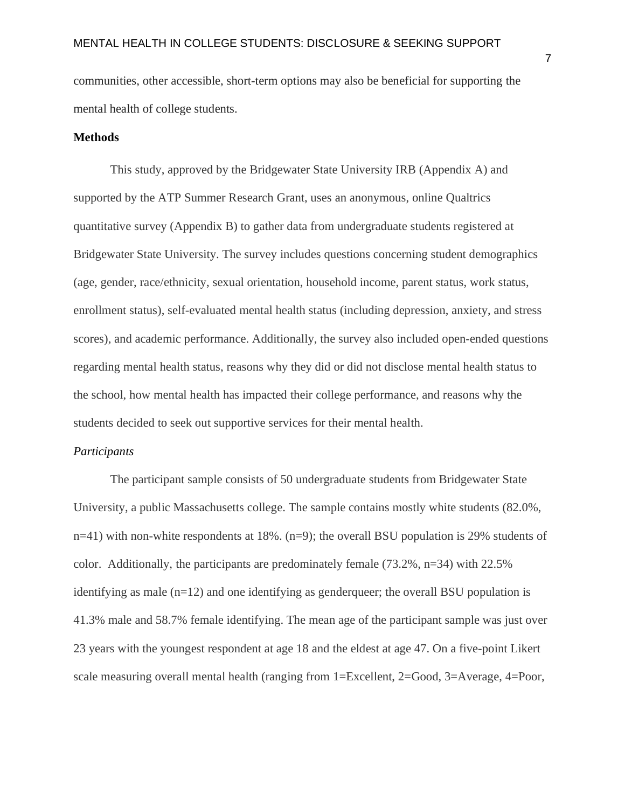communities, other accessible, short-term options may also be beneficial for supporting the mental health of college students.

#### **Methods**

This study, approved by the Bridgewater State University IRB (Appendix A) and supported by the ATP Summer Research Grant, uses an anonymous, online Qualtrics quantitative survey (Appendix B) to gather data from undergraduate students registered at Bridgewater State University. The survey includes questions concerning student demographics (age, gender, race/ethnicity, sexual orientation, household income, parent status, work status, enrollment status), self-evaluated mental health status (including depression, anxiety, and stress scores), and academic performance. Additionally, the survey also included open-ended questions regarding mental health status, reasons why they did or did not disclose mental health status to the school, how mental health has impacted their college performance, and reasons why the students decided to seek out supportive services for their mental health.

### *Participants*

The participant sample consists of 50 undergraduate students from Bridgewater State University, a public Massachusetts college. The sample contains mostly white students (82.0%, n=41) with non-white respondents at 18%. (n=9); the overall BSU population is 29% students of color. Additionally, the participants are predominately female (73.2%, n=34) with 22.5% identifying as male (n=12) and one identifying as genderqueer; the overall BSU population is 41.3% male and 58.7% female identifying. The mean age of the participant sample was just over 23 years with the youngest respondent at age 18 and the eldest at age 47. On a five-point Likert scale measuring overall mental health (ranging from 1=Excellent, 2=Good, 3=Average, 4=Poor,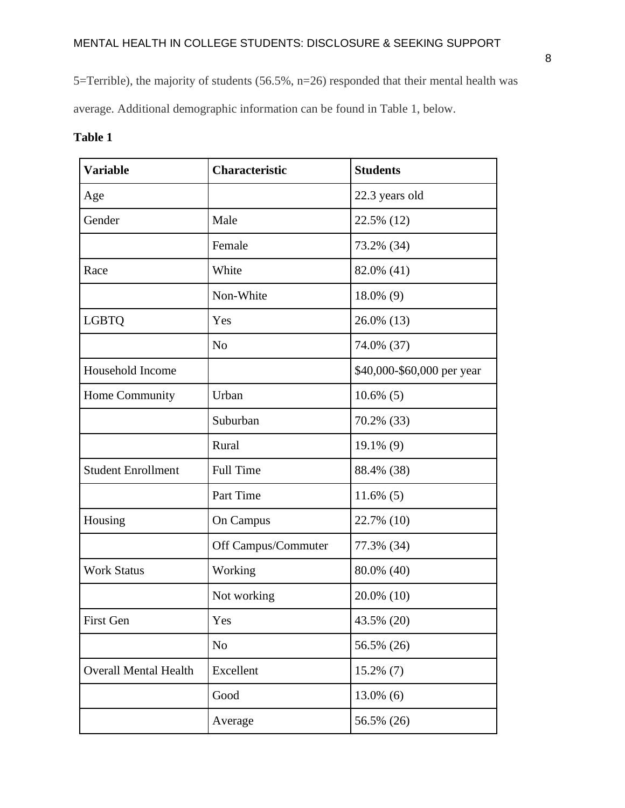5=Terrible), the majority of students (56.5%, n=26) responded that their mental health was

average. Additional demographic information can be found in Table 1, below.

|  | я<br>me |  |  |
|--|---------|--|--|
|--|---------|--|--|

| <b>Variable</b>              | <b>Characteristic</b> | <b>Students</b>            |
|------------------------------|-----------------------|----------------------------|
| Age                          |                       | 22.3 years old             |
| Gender                       | Male                  | 22.5% (12)                 |
|                              | Female                | 73.2% (34)                 |
| Race                         | White                 | 82.0% (41)                 |
|                              | Non-White             | $18.0\%$ (9)               |
| <b>LGBTQ</b>                 | Yes                   | 26.0% (13)                 |
|                              | N <sub>o</sub>        | 74.0% (37)                 |
| Household Income             |                       | \$40,000-\$60,000 per year |
| Home Community               | Urban                 | $10.6\%$ (5)               |
|                              | Suburban              | 70.2% (33)                 |
|                              | Rural                 | 19.1% (9)                  |
| <b>Student Enrollment</b>    | <b>Full Time</b>      | 88.4% (38)                 |
|                              | Part Time             | $11.6\%$ (5)               |
| Housing                      | <b>On Campus</b>      | 22.7% (10)                 |
|                              | Off Campus/Commuter   | 77.3% (34)                 |
| <b>Work Status</b>           | Working               | 80.0% (40)                 |
|                              | Not working           | 20.0% (10)                 |
| First Gen                    | Yes                   | 43.5% (20)                 |
|                              | N <sub>o</sub>        | 56.5% (26)                 |
| <b>Overall Mental Health</b> | Excellent             | $15.2\%$ (7)               |
|                              | Good                  | $13.0\%$ (6)               |
|                              | Average               | 56.5% (26)                 |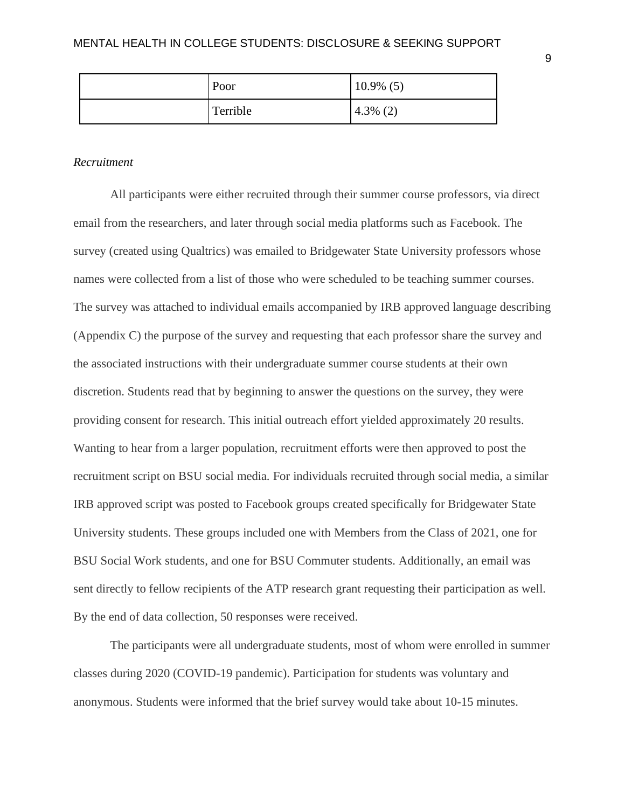| Poor     | $10.9\%$ (5) |
|----------|--------------|
| Terrible | (2)<br>4.3%  |

#### *Recruitment*

All participants were either recruited through their summer course professors, via direct email from the researchers, and later through social media platforms such as Facebook. The survey (created using Qualtrics) was emailed to Bridgewater State University professors whose names were collected from a list of those who were scheduled to be teaching summer courses. The survey was attached to individual emails accompanied by IRB approved language describing (Appendix C) the purpose of the survey and requesting that each professor share the survey and the associated instructions with their undergraduate summer course students at their own discretion. Students read that by beginning to answer the questions on the survey, they were providing consent for research. This initial outreach effort yielded approximately 20 results. Wanting to hear from a larger population, recruitment efforts were then approved to post the recruitment script on BSU social media. For individuals recruited through social media, a similar IRB approved script was posted to Facebook groups created specifically for Bridgewater State University students. These groups included one with Members from the Class of 2021, one for BSU Social Work students, and one for BSU Commuter students. Additionally, an email was sent directly to fellow recipients of the ATP research grant requesting their participation as well. By the end of data collection, 50 responses were received.

The participants were all undergraduate students, most of whom were enrolled in summer classes during 2020 (COVID-19 pandemic). Participation for students was voluntary and anonymous. Students were informed that the brief survey would take about 10-15 minutes.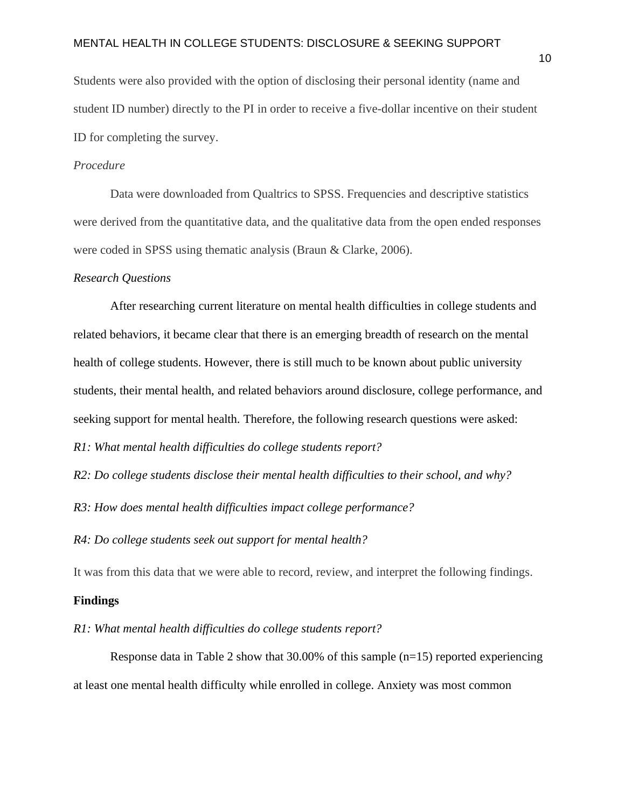Students were also provided with the option of disclosing their personal identity (name and student ID number) directly to the PI in order to receive a five-dollar incentive on their student ID for completing the survey.

### *Procedure*

Data were downloaded from Qualtrics to SPSS. Frequencies and descriptive statistics were derived from the quantitative data, and the qualitative data from the open ended responses were coded in SPSS using thematic analysis (Braun & Clarke, 2006).

#### *Research Questions*

After researching current literature on mental health difficulties in college students and related behaviors, it became clear that there is an emerging breadth of research on the mental health of college students. However, there is still much to be known about public university students, their mental health, and related behaviors around disclosure, college performance, and seeking support for mental health. Therefore, the following research questions were asked:

*R1: What mental health difficulties do college students report?*

*R2: Do college students disclose their mental health difficulties to their school, and why?*

*R3: How does mental health difficulties impact college performance?*

*R4: Do college students seek out support for mental health?*

It was from this data that we were able to record, review, and interpret the following findings.

#### **Findings**

*R1: What mental health difficulties do college students report?*

Response data in Table 2 show that 30.00% of this sample (n=15) reported experiencing at least one mental health difficulty while enrolled in college. Anxiety was most common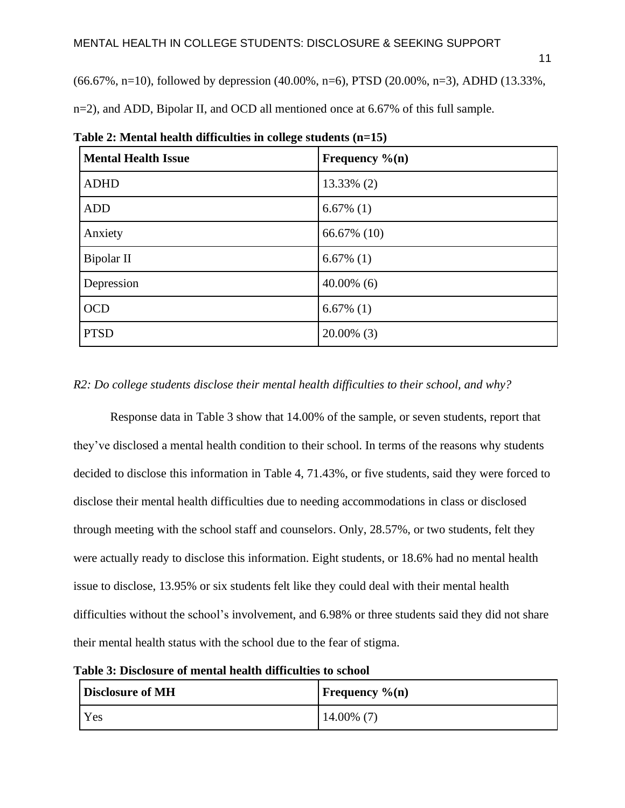$(66.67\%, n=10)$ , followed by depression  $(40.00\%, n=6)$ , PTSD  $(20.00\%, n=3)$ , ADHD  $(13.33\%,$ 

n=2), and ADD, Bipolar II, and OCD all mentioned once at 6.67% of this full sample.

| <b>Mental Health Issue</b> | Frequency $\%$ (n) |
|----------------------------|--------------------|
| <b>ADHD</b>                | 13.33% (2)         |
| <b>ADD</b>                 | $6.67\%$ (1)       |
| Anxiety                    | 66.67% (10)        |
| Bipolar II                 | $6.67\%$ (1)       |
| Depression                 | $40.00\%$ (6)      |
| <b>OCD</b>                 | $6.67\%$ (1)       |
| <b>PTSD</b>                | $20.00\%$ (3)      |

**Table 2: Mental health difficulties in college students (n=15)**

### *R2: Do college students disclose their mental health difficulties to their school, and why?*

Response data in Table 3 show that 14.00% of the sample, or seven students, report that they've disclosed a mental health condition to their school. In terms of the reasons why students decided to disclose this information in Table 4, 71.43%, or five students, said they were forced to disclose their mental health difficulties due to needing accommodations in class or disclosed through meeting with the school staff and counselors. Only, 28.57%, or two students, felt they were actually ready to disclose this information. Eight students, or 18.6% had no mental health issue to disclose, 13.95% or six students felt like they could deal with their mental health difficulties without the school's involvement, and 6.98% or three students said they did not share their mental health status with the school due to the fear of stigma.

**Table 3: Disclosure of mental health difficulties to school**

| Disclosure of MH | <b>Frequency</b> $\%$ (n) |
|------------------|---------------------------|
| Yes              | $14.00\%$ (7)             |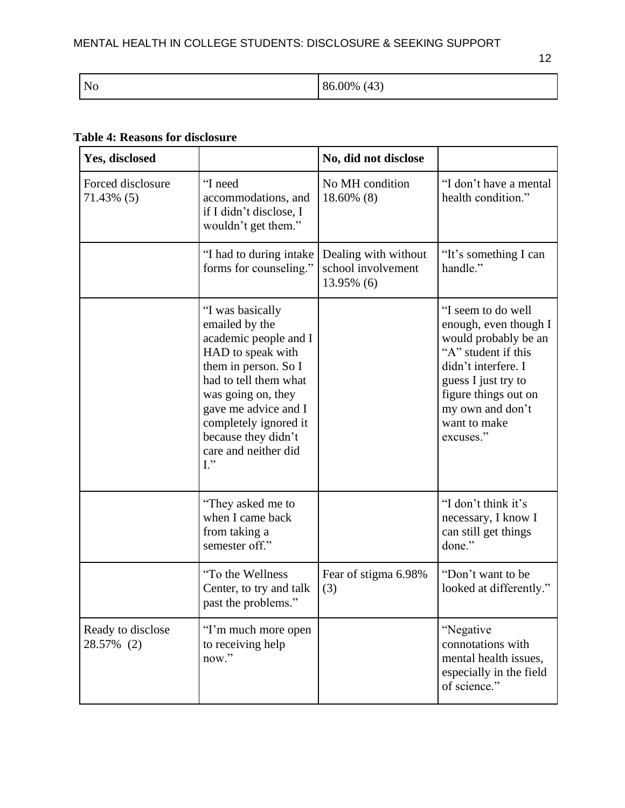12

| $\overline{N}$ | (43)<br>86.00% |
|----------------|----------------|
|----------------|----------------|

## **Table 4: Reasons for disclosure**

| Yes, disclosed                     |                                                                                                                                                                                                                                                                            | No, did not disclose                                     |                                                                                                                                                                                                                   |
|------------------------------------|----------------------------------------------------------------------------------------------------------------------------------------------------------------------------------------------------------------------------------------------------------------------------|----------------------------------------------------------|-------------------------------------------------------------------------------------------------------------------------------------------------------------------------------------------------------------------|
| Forced disclosure<br>$71.43\%$ (5) | "I need<br>accommodations, and<br>if I didn't disclose, I<br>wouldn't get them."                                                                                                                                                                                           | No MH condition<br>18.60% (8)                            | "I don't have a mental<br>health condition."                                                                                                                                                                      |
|                                    | "I had to during intake<br>forms for counseling."                                                                                                                                                                                                                          | Dealing with without<br>school involvement<br>13.95% (6) | "It's something I can<br>handle."                                                                                                                                                                                 |
|                                    | "I was basically<br>emailed by the<br>academic people and I<br>HAD to speak with<br>them in person. So I<br>had to tell them what<br>was going on, they<br>gave me advice and I<br>completely ignored it<br>because they didn't<br>care and neither did<br>$\mathbf{I}$ ." |                                                          | "I seem to do well<br>enough, even though I<br>would probably be an<br>"A" student if this<br>didn't interfere. I<br>guess I just try to<br>figure things out on<br>my own and don't<br>want to make<br>excuses." |
|                                    | "They asked me to<br>when I came back<br>from taking a<br>semester off."                                                                                                                                                                                                   |                                                          | "I don't think it's<br>necessary, I know I<br>can still get things<br>done."                                                                                                                                      |
|                                    | "To the Wellness<br>Center, to try and talk<br>past the problems."                                                                                                                                                                                                         | Fear of stigma 6.98%<br>(3)                              | "Don't want to be<br>looked at differently."                                                                                                                                                                      |
| Ready to disclose<br>28.57% (2)    | "I'm much more open<br>to receiving help<br>now."                                                                                                                                                                                                                          |                                                          | "Negative<br>connotations with<br>mental health issues,<br>especially in the field<br>of science."                                                                                                                |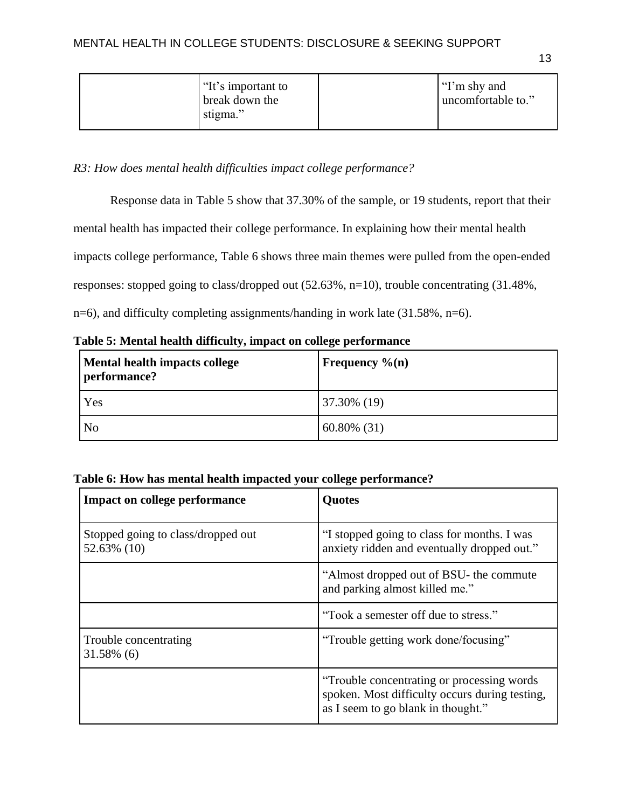|  | "It's important to<br>break down the<br>stigma." |  | "I'm shy and<br>uncomfortable to." |
|--|--------------------------------------------------|--|------------------------------------|
|--|--------------------------------------------------|--|------------------------------------|

*R3: How does mental health difficulties impact college performance?*

Response data in Table 5 show that 37.30% of the sample, or 19 students, report that their

mental health has impacted their college performance. In explaining how their mental health

impacts college performance, Table 6 shows three main themes were pulled from the open-ended

responses: stopped going to class/dropped out (52.63%, n=10), trouble concentrating (31.48%,

n=6), and difficulty completing assignments/handing in work late (31.58%, n=6).

| Mental health impacts college<br>performance? | Frequency $\%$ (n) |
|-----------------------------------------------|--------------------|
| Yes                                           | 37.30% (19)        |
| No                                            | $60.80\%$ (31)     |

| Table 6: How has mental health impacted your college performance? |  |  |
|-------------------------------------------------------------------|--|--|
|-------------------------------------------------------------------|--|--|

| <b>Impact on college performance</b>              | <b>Quotes</b>                                                                                                                       |
|---------------------------------------------------|-------------------------------------------------------------------------------------------------------------------------------------|
| Stopped going to class/dropped out<br>52.63% (10) | "I stopped going to class for months. I was<br>anxiety ridden and eventually dropped out."                                          |
|                                                   | "Almost dropped out of BSU- the commute"<br>and parking almost killed me."                                                          |
|                                                   | "Took a semester off due to stress."                                                                                                |
| Trouble concentrating<br>31.58% (6)               | "Trouble getting work done/focusing"                                                                                                |
|                                                   | "Trouble concentrating or processing words"<br>spoken. Most difficulty occurs during testing,<br>as I seem to go blank in thought." |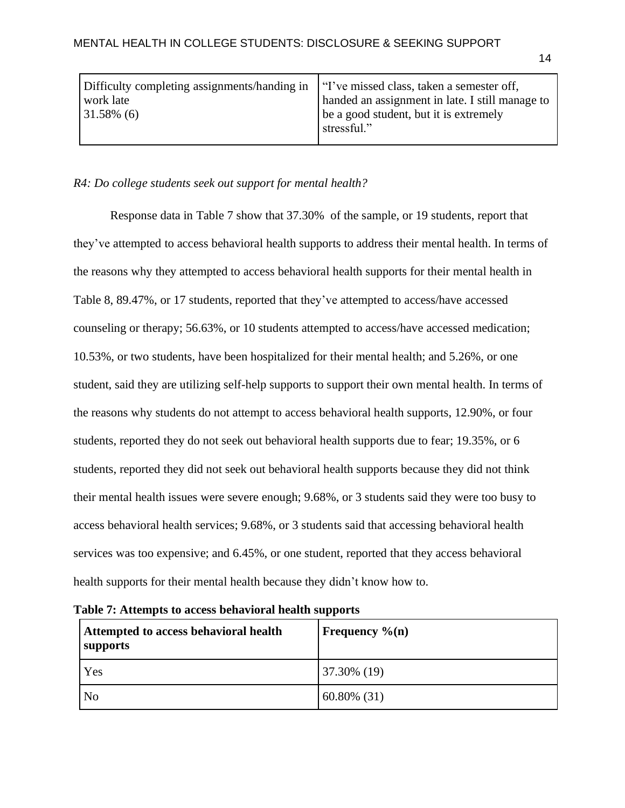| Difficulty completing assignments/handing in   "I've missed class, taken a semester off,<br>work late<br>$31.58\%$ (6) | handed an assignment in late. I still manage to       |
|------------------------------------------------------------------------------------------------------------------------|-------------------------------------------------------|
|                                                                                                                        | be a good student, but it is extremely<br>stressful." |

#### *R4: Do college students seek out support for mental health?*

Response data in Table 7 show that 37.30% of the sample, or 19 students, report that they've attempted to access behavioral health supports to address their mental health. In terms of the reasons why they attempted to access behavioral health supports for their mental health in Table 8, 89.47%, or 17 students, reported that they've attempted to access/have accessed counseling or therapy; 56.63%, or 10 students attempted to access/have accessed medication; 10.53%, or two students, have been hospitalized for their mental health; and 5.26%, or one student, said they are utilizing self-help supports to support their own mental health. In terms of the reasons why students do not attempt to access behavioral health supports, 12.90%, or four students, reported they do not seek out behavioral health supports due to fear; 19.35%, or 6 students, reported they did not seek out behavioral health supports because they did not think their mental health issues were severe enough; 9.68%, or 3 students said they were too busy to access behavioral health services; 9.68%, or 3 students said that accessing behavioral health services was too expensive; and 6.45%, or one student, reported that they access behavioral health supports for their mental health because they didn't know how to.

| Attempted to access behavioral health<br>supports | Frequency $\%$ (n) |
|---------------------------------------------------|--------------------|
| Yes                                               | 37.30% (19)        |
| N <sub>o</sub>                                    | $60.80\%$ (31)     |

|  |  |  | Table 7: Attempts to access behavioral health supports |
|--|--|--|--------------------------------------------------------|
|--|--|--|--------------------------------------------------------|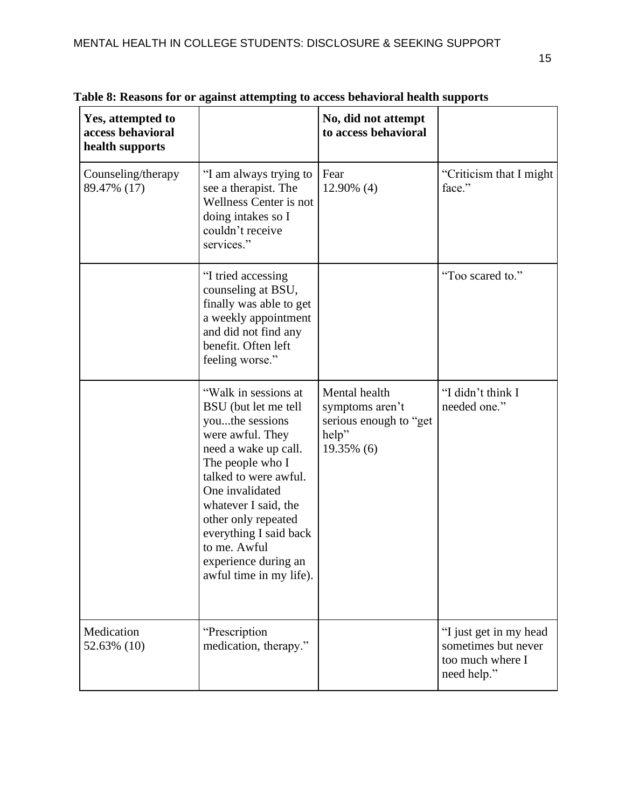| Yes, attempted to<br>access behavioral<br>health supports |                                                                                                                                                                                                                                                                                                                         | No, did not attempt<br>to access behavioral                                       |                                                                                  |
|-----------------------------------------------------------|-------------------------------------------------------------------------------------------------------------------------------------------------------------------------------------------------------------------------------------------------------------------------------------------------------------------------|-----------------------------------------------------------------------------------|----------------------------------------------------------------------------------|
| Counseling/therapy<br>89.47% (17)                         | "I am always trying to<br>see a therapist. The<br>Wellness Center is not<br>doing intakes so I<br>couldn't receive<br>services."                                                                                                                                                                                        | Fear<br>12.90% (4)                                                                | "Criticism that I might<br>face."                                                |
|                                                           | "I tried accessing<br>counseling at BSU,<br>finally was able to get<br>a weekly appointment<br>and did not find any<br>benefit. Often left<br>feeling worse."                                                                                                                                                           |                                                                                   | "Too scared to."                                                                 |
|                                                           | "Walk in sessions at<br>BSU (but let me tell<br>youthe sessions<br>were awful. They<br>need a wake up call.<br>The people who I<br>talked to were awful.<br>One invalidated<br>whatever I said, the<br>other only repeated<br>everything I said back<br>to me. Awful<br>experience during an<br>awful time in my life). | Mental health<br>symptoms aren't<br>serious enough to "get<br>help"<br>19.35% (6) | "I didn't think I<br>needed one."                                                |
| Medication<br>52.63% (10)                                 | "Prescription<br>medication, therapy."                                                                                                                                                                                                                                                                                  |                                                                                   | "I just get in my head<br>sometimes but never<br>too much where I<br>need help." |

**Table 8: Reasons for or against attempting to access behavioral health supports**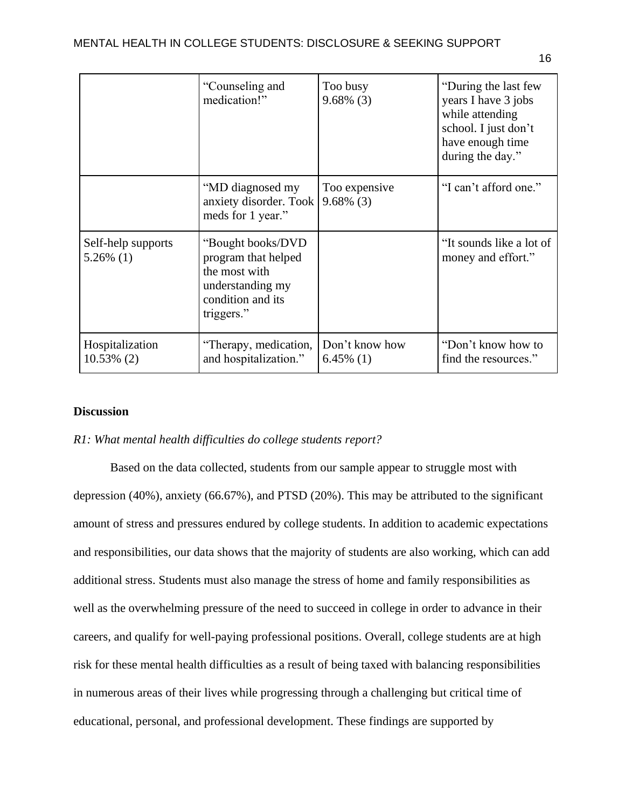|                                    | "Counseling and<br>medication!"                                                                                  | Too busy<br>$9.68\%$ (3)       | "During the last few<br>years I have 3 jobs<br>while attending<br>school. I just don't<br>have enough time<br>during the day." |
|------------------------------------|------------------------------------------------------------------------------------------------------------------|--------------------------------|--------------------------------------------------------------------------------------------------------------------------------|
|                                    | "MD diagnosed my<br>anxiety disorder. Took<br>meds for 1 year."                                                  | Too expensive<br>$9.68\%$ (3)  | "I can't afford one."                                                                                                          |
| Self-help supports<br>$5.26\%$ (1) | "Bought books/DVD<br>program that helped<br>the most with<br>understanding my<br>condition and its<br>triggers." |                                | "It sounds like a lot of<br>money and effort."                                                                                 |
| Hospitalization<br>$10.53\%$ (2)   | "Therapy, medication,<br>and hospitalization."                                                                   | Don't know how<br>$6.45\%$ (1) | "Don't know how to<br>find the resources."                                                                                     |

### **Discussion**

### *R1: What mental health difficulties do college students report?*

Based on the data collected, students from our sample appear to struggle most with depression (40%), anxiety (66.67%), and PTSD (20%). This may be attributed to the significant amount of stress and pressures endured by college students. In addition to academic expectations and responsibilities, our data shows that the majority of students are also working, which can add additional stress. Students must also manage the stress of home and family responsibilities as well as the overwhelming pressure of the need to succeed in college in order to advance in their careers, and qualify for well-paying professional positions. Overall, college students are at high risk for these mental health difficulties as a result of being taxed with balancing responsibilities in numerous areas of their lives while progressing through a challenging but critical time of educational, personal, and professional development. These findings are supported by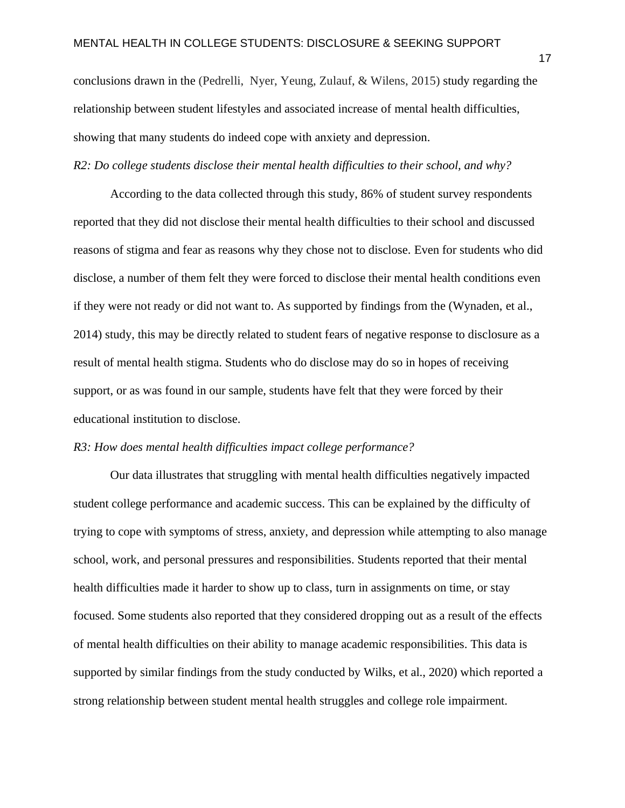conclusions drawn in the (Pedrelli, Nyer, Yeung, Zulauf, & Wilens, 2015) study regarding the relationship between student lifestyles and associated increase of mental health difficulties, showing that many students do indeed cope with anxiety and depression.

*R2: Do college students disclose their mental health difficulties to their school, and why?*

According to the data collected through this study, 86% of student survey respondents reported that they did not disclose their mental health difficulties to their school and discussed reasons of stigma and fear as reasons why they chose not to disclose. Even for students who did disclose, a number of them felt they were forced to disclose their mental health conditions even if they were not ready or did not want to. As supported by findings from the (Wynaden, et al., 2014) study, this may be directly related to student fears of negative response to disclosure as a result of mental health stigma. Students who do disclose may do so in hopes of receiving support, or as was found in our sample, students have felt that they were forced by their educational institution to disclose.

### *R3: How does mental health difficulties impact college performance?*

Our data illustrates that struggling with mental health difficulties negatively impacted student college performance and academic success. This can be explained by the difficulty of trying to cope with symptoms of stress, anxiety, and depression while attempting to also manage school, work, and personal pressures and responsibilities. Students reported that their mental health difficulties made it harder to show up to class, turn in assignments on time, or stay focused. Some students also reported that they considered dropping out as a result of the effects of mental health difficulties on their ability to manage academic responsibilities. This data is supported by similar findings from the study conducted by Wilks, et al., 2020) which reported a strong relationship between student mental health struggles and college role impairment.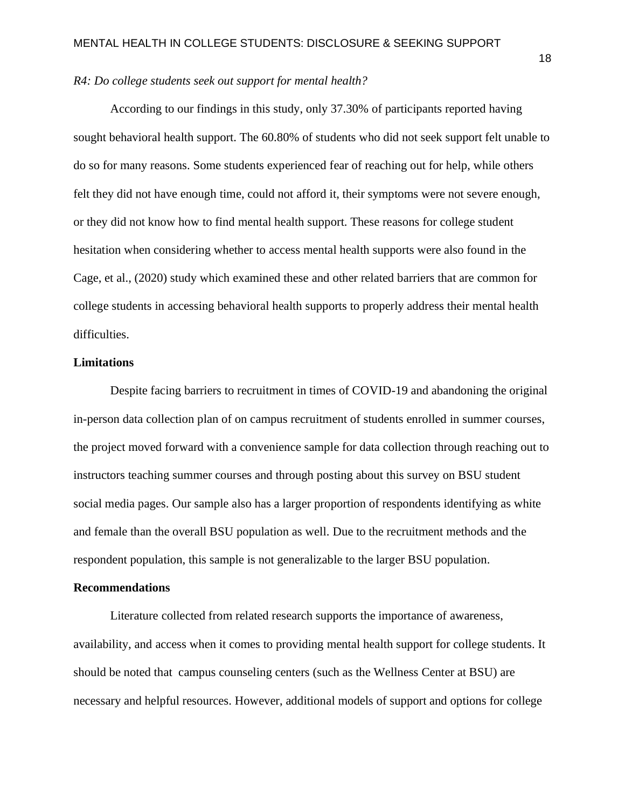#### *R4: Do college students seek out support for mental health?*

According to our findings in this study, only 37.30% of participants reported having sought behavioral health support. The 60.80% of students who did not seek support felt unable to do so for many reasons. Some students experienced fear of reaching out for help, while others felt they did not have enough time, could not afford it, their symptoms were not severe enough, or they did not know how to find mental health support. These reasons for college student hesitation when considering whether to access mental health supports were also found in the Cage, et al., (2020) study which examined these and other related barriers that are common for college students in accessing behavioral health supports to properly address their mental health difficulties.

#### **Limitations**

Despite facing barriers to recruitment in times of COVID-19 and abandoning the original in-person data collection plan of on campus recruitment of students enrolled in summer courses, the project moved forward with a convenience sample for data collection through reaching out to instructors teaching summer courses and through posting about this survey on BSU student social media pages. Our sample also has a larger proportion of respondents identifying as white and female than the overall BSU population as well. Due to the recruitment methods and the respondent population, this sample is not generalizable to the larger BSU population.

#### **Recommendations**

Literature collected from related research supports the importance of awareness, availability, and access when it comes to providing mental health support for college students. It should be noted that campus counseling centers (such as the Wellness Center at BSU) are necessary and helpful resources. However, additional models of support and options for college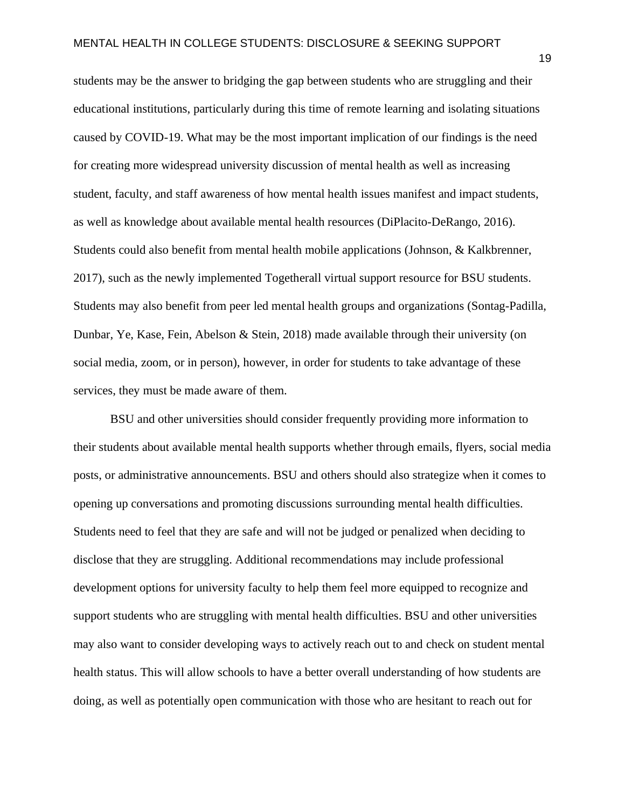students may be the answer to bridging the gap between students who are struggling and their educational institutions, particularly during this time of remote learning and isolating situations caused by COVID-19. What may be the most important implication of our findings is the need for creating more widespread university discussion of mental health as well as increasing student, faculty, and staff awareness of how mental health issues manifest and impact students, as well as knowledge about available mental health resources (DiPlacito-DeRango, 2016). Students could also benefit from mental health mobile applications (Johnson, & Kalkbrenner, 2017), such as the newly implemented Togetherall virtual support resource for BSU students. Students may also benefit from peer led mental health groups and organizations (Sontag-Padilla, Dunbar, Ye, Kase, Fein, Abelson & Stein, 2018) made available through their university (on social media, zoom, or in person), however, in order for students to take advantage of these services, they must be made aware of them.

BSU and other universities should consider frequently providing more information to their students about available mental health supports whether through emails, flyers, social media posts, or administrative announcements. BSU and others should also strategize when it comes to opening up conversations and promoting discussions surrounding mental health difficulties. Students need to feel that they are safe and will not be judged or penalized when deciding to disclose that they are struggling. Additional recommendations may include professional development options for university faculty to help them feel more equipped to recognize and support students who are struggling with mental health difficulties. BSU and other universities may also want to consider developing ways to actively reach out to and check on student mental health status. This will allow schools to have a better overall understanding of how students are doing, as well as potentially open communication with those who are hesitant to reach out for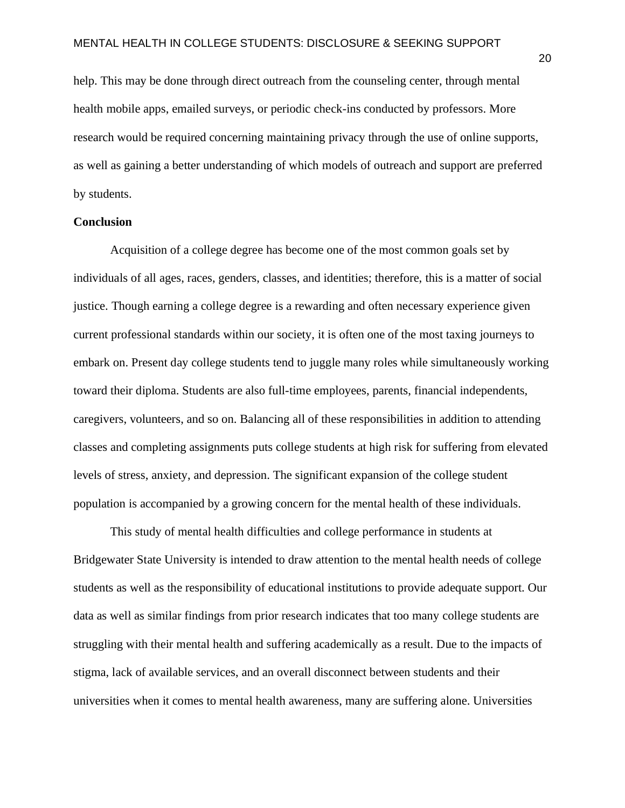help. This may be done through direct outreach from the counseling center, through mental health mobile apps, emailed surveys, or periodic check-ins conducted by professors. More research would be required concerning maintaining privacy through the use of online supports, as well as gaining a better understanding of which models of outreach and support are preferred by students.

### **Conclusion**

Acquisition of a college degree has become one of the most common goals set by individuals of all ages, races, genders, classes, and identities; therefore, this is a matter of social justice. Though earning a college degree is a rewarding and often necessary experience given current professional standards within our society, it is often one of the most taxing journeys to embark on. Present day college students tend to juggle many roles while simultaneously working toward their diploma. Students are also full-time employees, parents, financial independents, caregivers, volunteers, and so on. Balancing all of these responsibilities in addition to attending classes and completing assignments puts college students at high risk for suffering from elevated levels of stress, anxiety, and depression. The significant expansion of the college student population is accompanied by a growing concern for the mental health of these individuals.

This study of mental health difficulties and college performance in students at Bridgewater State University is intended to draw attention to the mental health needs of college students as well as the responsibility of educational institutions to provide adequate support. Our data as well as similar findings from prior research indicates that too many college students are struggling with their mental health and suffering academically as a result. Due to the impacts of stigma, lack of available services, and an overall disconnect between students and their universities when it comes to mental health awareness, many are suffering alone. Universities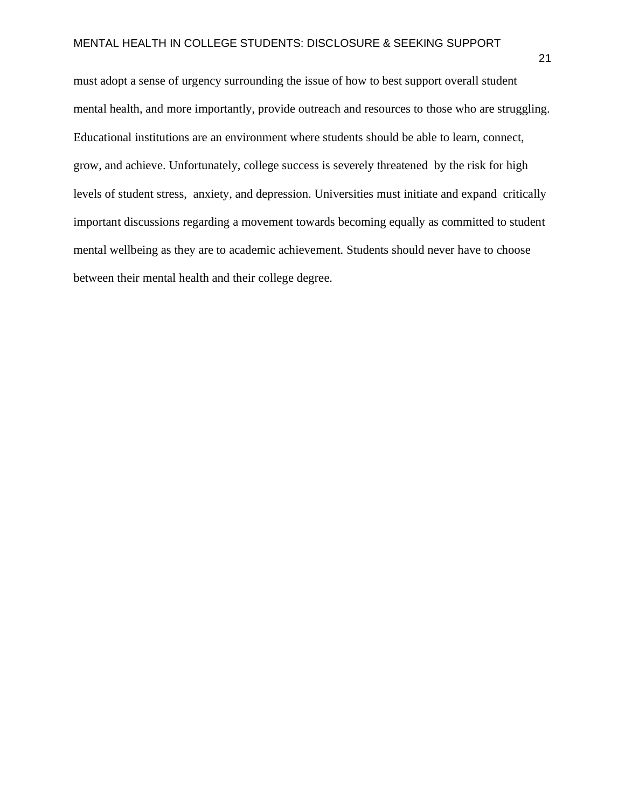must adopt a sense of urgency surrounding the issue of how to best support overall student mental health, and more importantly, provide outreach and resources to those who are struggling. Educational institutions are an environment where students should be able to learn, connect, grow, and achieve. Unfortunately, college success is severely threatened by the risk for high levels of student stress, anxiety, and depression. Universities must initiate and expand critically important discussions regarding a movement towards becoming equally as committed to student mental wellbeing as they are to academic achievement. Students should never have to choose between their mental health and their college degree.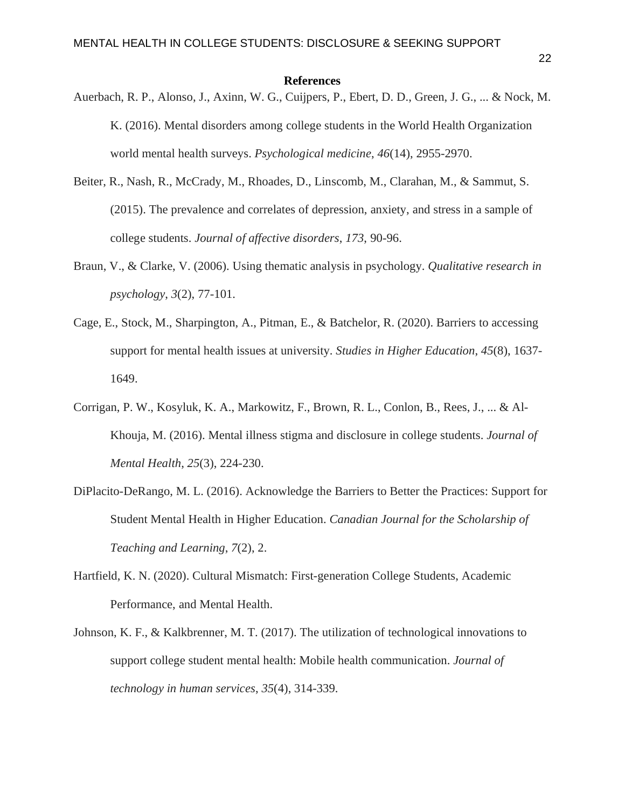#### **References**

- Auerbach, R. P., Alonso, J., Axinn, W. G., Cuijpers, P., Ebert, D. D., Green, J. G., ... & Nock, M. K. (2016). Mental disorders among college students in the World Health Organization world mental health surveys. *Psychological medicine*, *46*(14), 2955-2970.
- Beiter, R., Nash, R., McCrady, M., Rhoades, D., Linscomb, M., Clarahan, M., & Sammut, S. (2015). The prevalence and correlates of depression, anxiety, and stress in a sample of college students. *Journal of affective disorders*, *173*, 90-96.
- Braun, V., & Clarke, V. (2006). Using thematic analysis in psychology. *Qualitative research in psychology*, *3*(2), 77-101.
- Cage, E., Stock, M., Sharpington, A., Pitman, E., & Batchelor, R. (2020). Barriers to accessing support for mental health issues at university. *Studies in Higher Education*, *45*(8), 1637- 1649.
- Corrigan, P. W., Kosyluk, K. A., Markowitz, F., Brown, R. L., Conlon, B., Rees, J., ... & Al-Khouja, M. (2016). Mental illness stigma and disclosure in college students. *Journal of Mental Health*, *25*(3), 224-230.
- DiPlacito-DeRango, M. L. (2016). Acknowledge the Barriers to Better the Practices: Support for Student Mental Health in Higher Education. *Canadian Journal for the Scholarship of Teaching and Learning*, *7*(2), 2.
- Hartfield, K. N. (2020). Cultural Mismatch: First-generation College Students, Academic Performance, and Mental Health.
- Johnson, K. F., & Kalkbrenner, M. T. (2017). The utilization of technological innovations to support college student mental health: Mobile health communication. *Journal of technology in human services*, *35*(4), 314-339.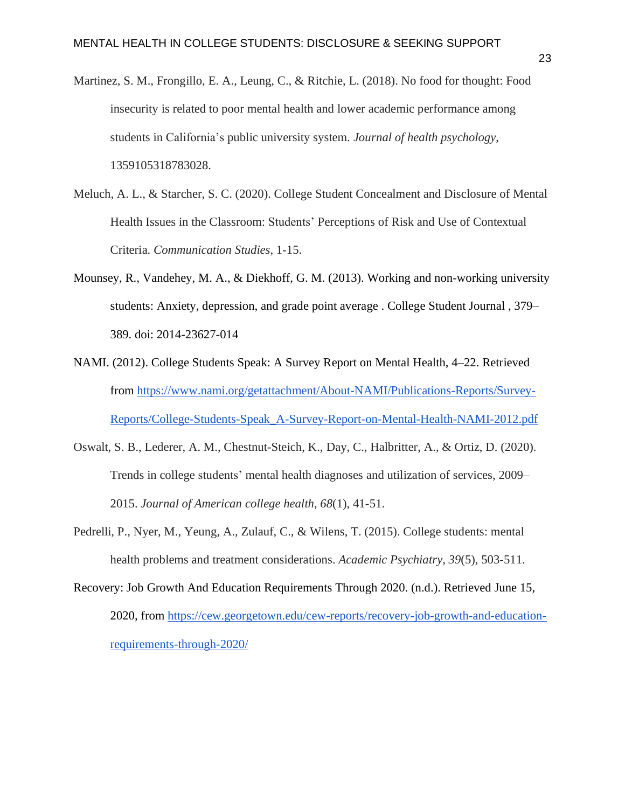- Martinez, S. M., Frongillo, E. A., Leung, C., & Ritchie, L. (2018). No food for thought: Food insecurity is related to poor mental health and lower academic performance among students in California's public university system. *Journal of health psychology*, 1359105318783028.
- Meluch, A. L., & Starcher, S. C. (2020). College Student Concealment and Disclosure of Mental Health Issues in the Classroom: Students' Perceptions of Risk and Use of Contextual Criteria. *Communication Studies*, 1-15.
- Mounsey, R., Vandehey, M. A., & Diekhoff, G. M. (2013). Working and non-working university students: Anxiety, depression, and grade point average . College Student Journal , 379– 389. doi: 2014-23627-014
- NAMI. (2012). College Students Speak: A Survey Report on Mental Health, 4–22. Retrieved from [https://www.nami.org/getattachment/About-NAMI/Publications-Reports/Survey-](https://www.nami.org/getattachment/About-NAMI/Publications-Reports/Survey-Reports/College-Students-Speak_A-Survey-Report-on-Mental-Health-NAMI-2012.pdf)[Reports/College-Students-Speak\\_A-Survey-Report-on-Mental-Health-NAMI-2012.pdf](https://www.nami.org/getattachment/About-NAMI/Publications-Reports/Survey-Reports/College-Students-Speak_A-Survey-Report-on-Mental-Health-NAMI-2012.pdf)
- Oswalt, S. B., Lederer, A. M., Chestnut-Steich, K., Day, C., Halbritter, A., & Ortiz, D. (2020). Trends in college students' mental health diagnoses and utilization of services, 2009– 2015. *Journal of American college health*, *68*(1), 41-51.
- Pedrelli, P., Nyer, M., Yeung, A., Zulauf, C., & Wilens, T. (2015). College students: mental health problems and treatment considerations. *Academic Psychiatry*, *39*(5), 503-511.
- Recovery: Job Growth And Education Requirements Through 2020. (n.d.). Retrieved June 15, 2020, from [https://cew.georgetown.edu/cew-reports/recovery-job-growth-and-education](https://cew.georgetown.edu/cew-reports/recovery-job-growth-and-education-requirements-through-2020/)[requirements-through-2020/](https://cew.georgetown.edu/cew-reports/recovery-job-growth-and-education-requirements-through-2020/)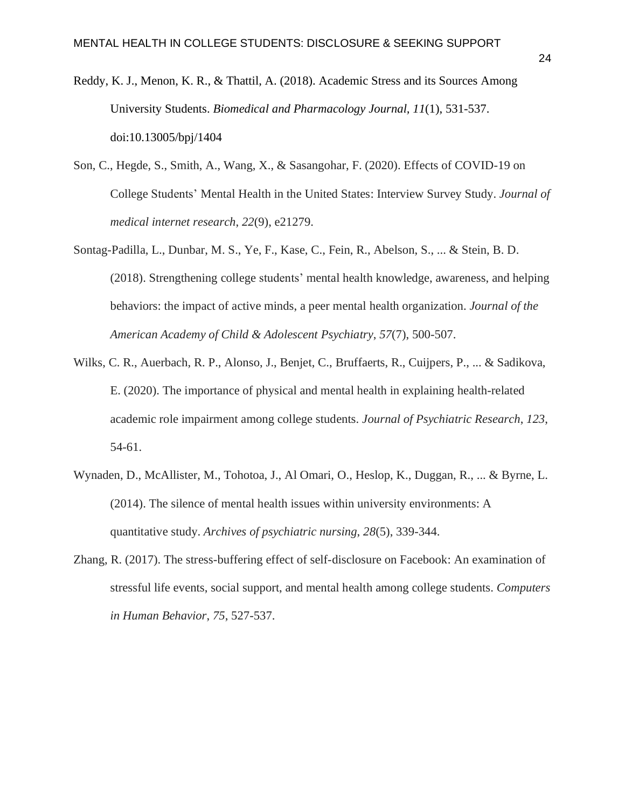- Reddy, K. J., Menon, K. R., & Thattil, A. (2018). Academic Stress and its Sources Among University Students. *Biomedical and Pharmacology Journal, 11*(1), 531-537. doi:10.13005/bpj/1404
- Son, C., Hegde, S., Smith, A., Wang, X., & Sasangohar, F. (2020). Effects of COVID-19 on College Students' Mental Health in the United States: Interview Survey Study. *Journal of medical internet research*, *22*(9), e21279.
- Sontag-Padilla, L., Dunbar, M. S., Ye, F., Kase, C., Fein, R., Abelson, S., ... & Stein, B. D. (2018). Strengthening college students' mental health knowledge, awareness, and helping behaviors: the impact of active minds, a peer mental health organization. *Journal of the American Academy of Child & Adolescent Psychiatry*, *57*(7), 500-507.
- Wilks, C. R., Auerbach, R. P., Alonso, J., Benjet, C., Bruffaerts, R., Cuijpers, P., ... & Sadikova, E. (2020). The importance of physical and mental health in explaining health-related academic role impairment among college students. *Journal of Psychiatric Research*, *123*, 54-61.
- Wynaden, D., McAllister, M., Tohotoa, J., Al Omari, O., Heslop, K., Duggan, R., ... & Byrne, L. (2014). The silence of mental health issues within university environments: A quantitative study. *Archives of psychiatric nursing*, *28*(5), 339-344.
- Zhang, R. (2017). The stress-buffering effect of self-disclosure on Facebook: An examination of stressful life events, social support, and mental health among college students. *Computers in Human Behavior*, *75*, 527-537.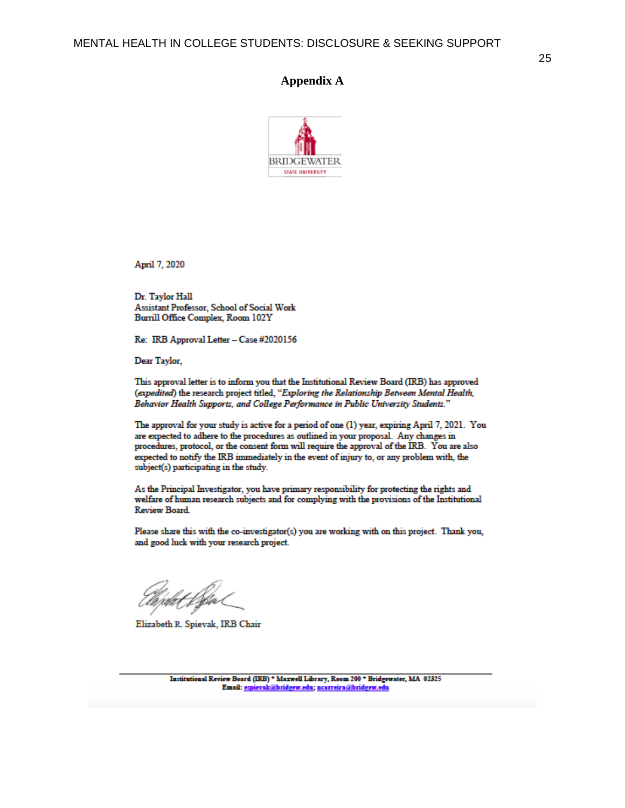#### 25

#### **Appendix A**



April 7, 2020

Dr. Taylor Hall Assistant Professor, School of Social Work Burrill Office Complex, Room 102Y

Re: IRB Approval Letter - Case #2020156

Dear Taylor,

This approval letter is to inform you that the Institutional Review Board (IRB) has approved (expedited) the research project titled, "Exploring the Relationship Between Mental Health, Behavior Health Supports, and College Performance in Public University Students."

The approval for your study is active for a period of one (1) year, expiring April 7, 2021. You are expected to adhere to the procedures as outlined in your proposal. Any changes in procedures, protocol, or the consent form will require the approval of the IRB. You are also expected to notify the IRB immediately in the event of injury to, or any problem with, the subject(s) participating in the study.

As the Principal Investigator, you have primary responsibility for protecting the rights and welfare of human research subjects and for complying with the provisions of the Institutional **Review Board.** 

Please share this with the co-investigator(s) you are working with on this project. Thank you, and good luck with your research project.

Elizabeth R. Spievak, IRB Chair

Institutional Review Board (IRB) \* Maxwell Library, Room 200 \* Bridgewater, MA 02325 Email: espievak@bridgew.edu; nearreira@bridgew.edu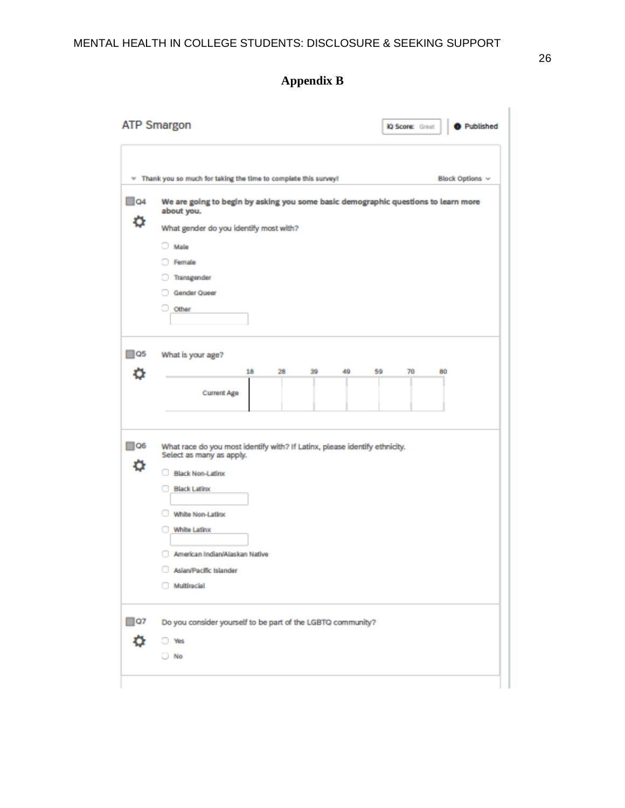# **Appendix B**

|                   | <b>ATP Smargon</b><br><b>O</b> Published<br><b>iQ Score:</b> Great                                                                                                                                                                                                                           |
|-------------------|----------------------------------------------------------------------------------------------------------------------------------------------------------------------------------------------------------------------------------------------------------------------------------------------|
| v                 | Thank you so much for taking the time to complete this survey!<br>Block Options v                                                                                                                                                                                                            |
| $\Box$ 04<br>۰    | We are going to begin by asking you some basic demographic questions to learn more<br>about you.<br>What gender do you identify most with?<br>Male<br>D.<br>Female<br>Transgender<br>Gender Queer<br>Other                                                                                   |
| $\square$ Q5<br>o | What is your age?<br>18<br>28<br>39<br>49<br>59<br>70<br>80<br><b>Current Age</b>                                                                                                                                                                                                            |
| $\Box$ Q6<br>۰    | What race do you most identify with? If Latinx, please identify ethnicity.<br>Select as many as apply.<br><b>Black Non-Latinx</b><br><b>Black Latinx</b><br><b>White Non-Latinx</b><br><b>White Latinx</b><br>American Indian/Alaskan Native<br>Asian/Pacific Islander<br><b>Multiracial</b> |
| $\square$ 07<br>۰ | Do you consider yourself to be part of the LGBTQ community?<br>O Wes<br>$\Box$ No                                                                                                                                                                                                            |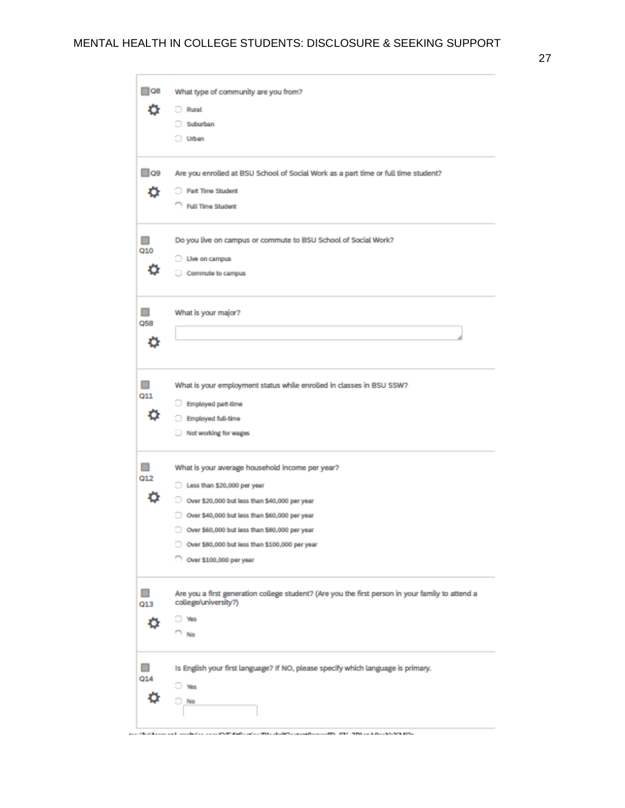27

| □ Ω8         | What type of community are you from?                                                             |
|--------------|--------------------------------------------------------------------------------------------------|
| o            | Rural                                                                                            |
|              | Suburban                                                                                         |
|              | O Urban                                                                                          |
| $\square$ Q9 | Are you enrolled at BSU School of Social Work as a part time or full time student?               |
| o            | <b>Part Time Student</b>                                                                         |
|              | Rull Time Student                                                                                |
|              |                                                                                                  |
| $\Box$       | Do you live on campus or commute to BSU School of Social Work?                                   |
| Q10          | Uwe on campus                                                                                    |
|              | Commute to campus                                                                                |
|              |                                                                                                  |
| $\Box$       | What is your major?                                                                              |
| Q58          |                                                                                                  |
| Ö            |                                                                                                  |
|              |                                                                                                  |
| $\Box$       | What is your employment status while enrolled in classes in BSU SSW?                             |
| Q11          | Employed part-time                                                                               |
| o            | Employed full-time                                                                               |
|              | Not working for wages                                                                            |
| □            | What is your average household income per year?                                                  |
| Q12          |                                                                                                  |
| ۰            | Less than \$20,000 per year                                                                      |
|              | O Over \$20,000 but less than \$40,000 per year                                                  |
|              | Over \$40,000 but less than \$60,000 per year                                                    |
|              | Over \$60,000 but less than \$80,000 per year                                                    |
|              | Over \$80,000 but less than \$100,000 per year                                                   |
|              | Over \$100,000 per year                                                                          |
| $\Box$       | Are you a first generation college student? (Are you the first person in your family to attend a |
| Q13          | college/university?)                                                                             |
|              | $\rightarrow$ Yes                                                                                |
|              | <sup>7</sup> No                                                                                  |
|              | Is English your first language? If NO, please specify which language is primary.                 |
|              |                                                                                                  |
|              |                                                                                                  |
| □<br>Q14     | <b>U</b> Wes<br>No                                                                               |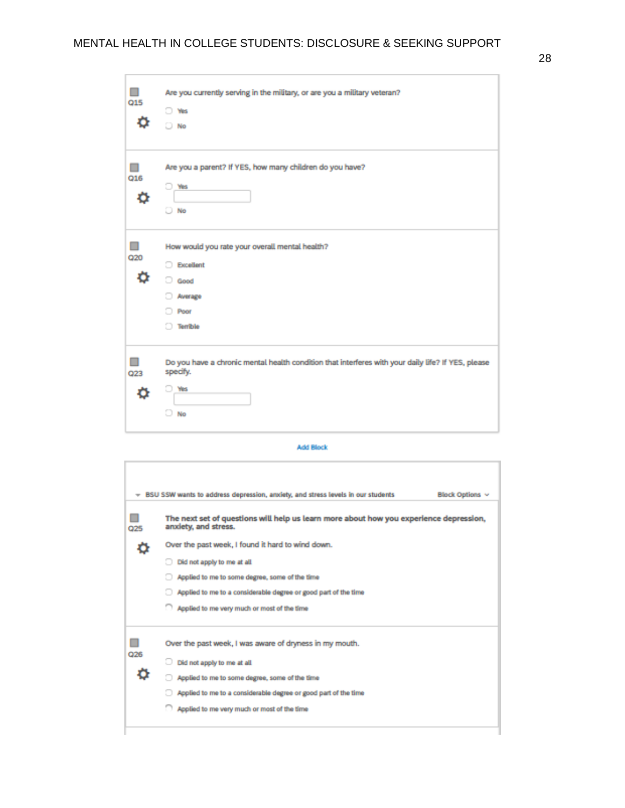ä

| Q15 | Are you currently serving in the military, or are you a military veteran?<br>O Wes<br>$\Box$ No                             |
|-----|-----------------------------------------------------------------------------------------------------------------------------|
| Q16 | Are you a parent? If YES, how many children do you have?<br><b>Yes</b><br>o<br>No                                           |
| Q20 | How would you rate your overall mental health?<br><b>Excellent</b><br>Good<br>Average<br>Poor<br><b>Terrible</b>            |
| Q23 | Do you have a chronic mental health condition that interferes with your daily life? If YES, please<br>specify.<br>Yes<br>No |

#### **Add Block**

|     | BSU SSW wants to address depression, anxiety, and stress levels in our students                                | <b>Block Options v</b> |
|-----|----------------------------------------------------------------------------------------------------------------|------------------------|
| Q25 | The next set of questions will help us learn more about how you experience depression,<br>anxiety, and stress. |                        |
|     | Over the past week, I found it hard to wind down.                                                              |                        |
|     | Did not apply to me at all.                                                                                    |                        |
|     | Applied to me to some degree, some of the time                                                                 |                        |
|     | Applied to me to a considerable degree or good part of the time                                                |                        |
|     | Applied to me very much or most of the time                                                                    |                        |
|     | Over the past week, I was aware of dryness in my mouth.                                                        |                        |
| Q26 | Did not apply to me at all.                                                                                    |                        |
|     | Applied to me to some degree, some of the time                                                                 |                        |
|     | Applied to me to a considerable degree or good part of the time                                                |                        |
|     | Applied to me very much or most of the time                                                                    |                        |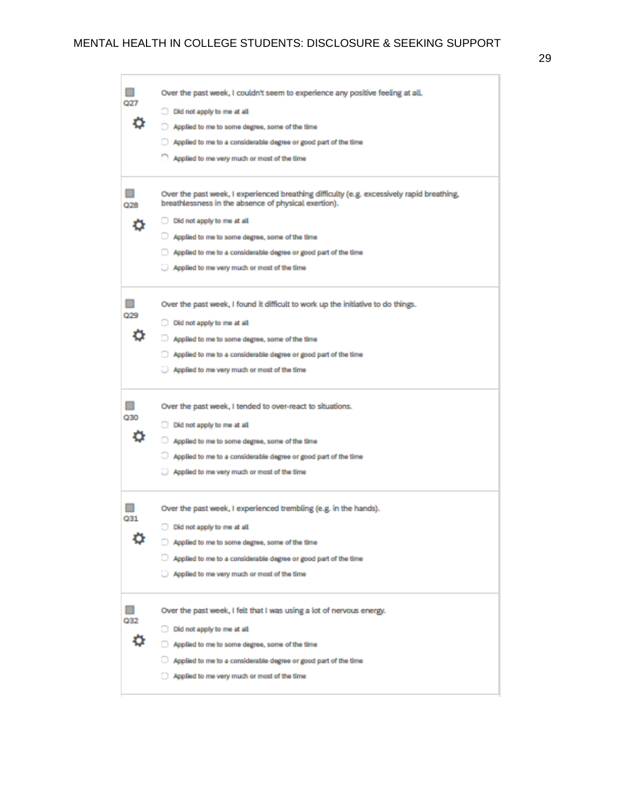# MENTAL HEALTH IN COLLEGE STUDENTS: DISCLOSURE & SEEKING SUPPORT

|     | Over the past week, I couldn't seem to experience any positive feeling at all.                                                                    |
|-----|---------------------------------------------------------------------------------------------------------------------------------------------------|
| 027 | Did not apply to me at all                                                                                                                        |
|     | Applied to me to some degree, some of the time                                                                                                    |
|     | Applied to me to a considerable degree or good part of the time                                                                                   |
|     | Applied to me very much or most of the time                                                                                                       |
|     |                                                                                                                                                   |
| Q28 | Over the past week, I experienced breathing difficulty (e.g. excessively rapid breathing,<br>breathlessness in the absence of physical exertion). |
|     | Did not apply to me at all                                                                                                                        |
|     | Applied to me to some degree, some of the time                                                                                                    |
|     | Applied to me to a considerable degree or good part of the time                                                                                   |
|     | Applied to me very much or most of the time                                                                                                       |
|     |                                                                                                                                                   |
|     | Over the past week, I found it difficult to work up the initiative to do things.                                                                  |
| Q29 | Did not apply to me at all                                                                                                                        |
|     | Applied to me to some degree, some of the time                                                                                                    |
|     | Applied to me to a considerable degree or good part of the time                                                                                   |
|     | Applied to me very much or most of the time                                                                                                       |
|     |                                                                                                                                                   |
|     | Over the past week, I tended to over-react to situations.                                                                                         |
| Q30 | Did not apply to me at all                                                                                                                        |
|     | Applied to me to some degree, some of the time                                                                                                    |
|     | Applied to me to a considerable degree or good part of the time                                                                                   |
|     | Applied to me very much or most of the time                                                                                                       |
|     |                                                                                                                                                   |
|     | Over the past week, I experienced trembling (e.g. in the hands).                                                                                  |
| 031 | Did not apply to me at all                                                                                                                        |
| Q   | Applied to me to some degree, some of the time                                                                                                    |
|     | Applied to me to a considerable degree or good part of the time                                                                                   |
|     | Applied to me very much or most of the time                                                                                                       |
|     |                                                                                                                                                   |
| Q32 | Over the past week, I felt that I was using a lot of nervous energy.                                                                              |
|     | Did not apply to me at all                                                                                                                        |
|     | Applied to me to some degree, some of the time                                                                                                    |
|     | Applied to me to a considerable degree or good part of the time                                                                                   |
|     | Applied to me very much or most of the time                                                                                                       |
|     |                                                                                                                                                   |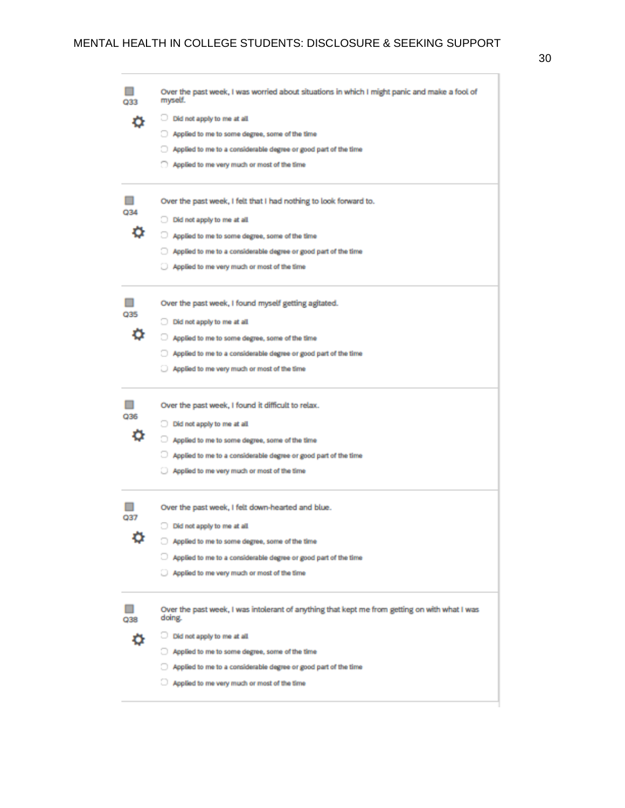| 033 | Over the past week, I was worried about situations in which I might panic and make a fool of<br>myself. |
|-----|---------------------------------------------------------------------------------------------------------|
|     | Did not apply to me at all                                                                              |
|     | Applied to me to some degree, some of the time                                                          |
|     | Applied to me to a considerable degree or good part of the time                                         |
|     | Applied to me very much or most of the time                                                             |
|     |                                                                                                         |
|     | Over the past week, I felt that I had nothing to look forward to.                                       |
|     | Did not apply to me at all                                                                              |
|     | Applied to me to some degree, some of the time                                                          |
|     | Applied to me to a considerable degree or good part of the time                                         |
|     | Applied to me very much or most of the time                                                             |
|     | Over the past week, I found myself getting agitated.                                                    |
|     | Did not apply to me at all                                                                              |
|     | Applied to me to some degree, some of the time                                                          |
|     | Applied to me to a considerable degree or good part of the time                                         |
|     | Applied to me very much or most of the time                                                             |
|     |                                                                                                         |
|     | Over the past week, I found it difficult to relax.                                                      |
| Q36 | Did not apply to me at all                                                                              |
|     | Applied to me to some degree, some of the time                                                          |
|     | Applied to me to a considerable degree or good part of the time                                         |
|     | Applied to me very much or most of the time                                                             |
|     | Over the past week, I felt down-hearted and blue.                                                       |
| Q37 | Did not apply to me at all                                                                              |
|     | Applied to me to some degree, some of the time                                                          |
|     | Applied to me to a considerable degree or good part of the time                                         |
|     | Applied to me very much or most of the time                                                             |
|     | Over the past week, I was intolerant of anything that kept me from getting on with what I was<br>doing. |
|     | Did not apply to me at all                                                                              |
|     | Applied to me to some degree, some of the time                                                          |
|     | Applied to me to a considerable degree or good part of the time                                         |
|     | Applied to me very much or most of the time                                                             |
|     |                                                                                                         |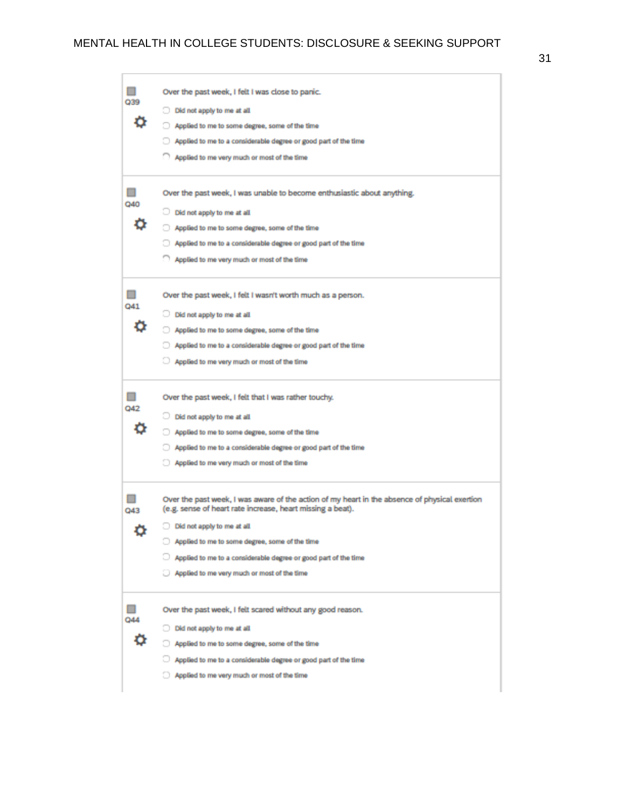# MENTAL HEALTH IN COLLEGE STUDENTS: DISCLOSURE & SEEKING SUPPORT

|     | Over the past week, I felt I was close to panic.                                                                                                            |
|-----|-------------------------------------------------------------------------------------------------------------------------------------------------------------|
| 039 | Did not apply to me at all                                                                                                                                  |
| o   | Applied to me to some degree, some of the time                                                                                                              |
|     | Applied to me to a considerable degree or good part of the time                                                                                             |
|     | Applied to me very much or most of the time                                                                                                                 |
|     | Over the past week, I was unable to become enthusiastic about anything.                                                                                     |
| Q40 | Did not apply to me at all                                                                                                                                  |
|     | Applied to me to some degree, some of the time                                                                                                              |
|     | Applied to me to a considerable degree or good part of the time                                                                                             |
|     | Applied to me very much or most of the time                                                                                                                 |
| Q41 | Over the past week, I felt I wasn't worth much as a person.                                                                                                 |
|     | Did not apply to me at all                                                                                                                                  |
|     | Applied to me to some degree, some of the time                                                                                                              |
|     | Applied to me to a considerable degree or good part of the time                                                                                             |
|     | Applied to me very much or most of the time                                                                                                                 |
| Q42 | Over the past week, I felt that I was rather touchy.                                                                                                        |
|     | Did not apply to me at all                                                                                                                                  |
|     | Applied to me to some degree, some of the time                                                                                                              |
|     | Applied to me to a considerable degree or good part of the time                                                                                             |
|     | Applied to me very much or most of the time                                                                                                                 |
| Q43 | Over the past week, I was aware of the action of my heart in the absence of physical exertion<br>(e.g. sense of heart rate increase, heart missing a beat). |
| ŋ   | Did not apply to me at all                                                                                                                                  |
|     | Applied to me to some degree, some of the time                                                                                                              |
|     | Applied to me to a considerable degree or good part of the time                                                                                             |
|     | Applied to me very much or most of the time                                                                                                                 |
| Q44 | Over the past week, I felt scared without any good reason.                                                                                                  |
|     | Did not apply to me at all                                                                                                                                  |
|     | Applied to me to some degree, some of the time                                                                                                              |
|     | Applied to me to a considerable degree or good part of the time                                                                                             |
|     | Applied to me very much or most of the time                                                                                                                 |
|     |                                                                                                                                                             |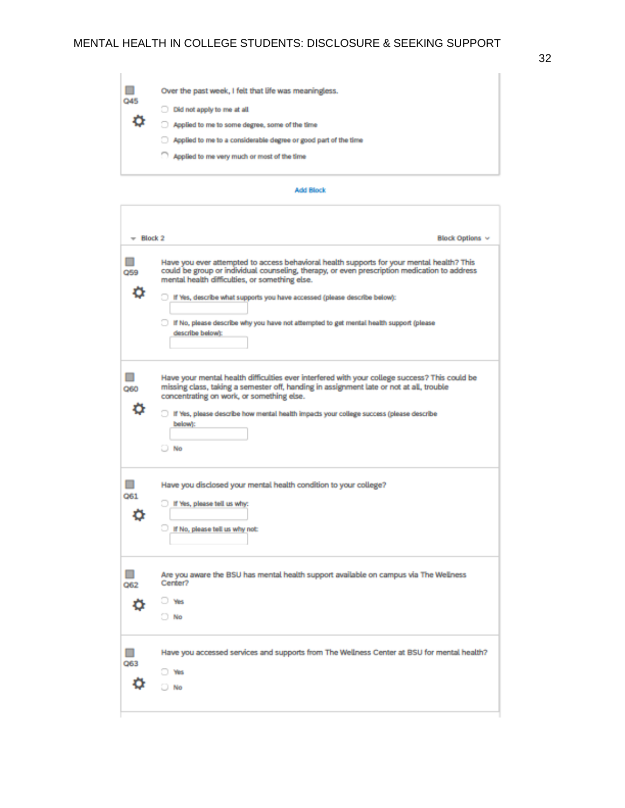| Applied to me to a considerable degree or good part of the time<br>Applied to me very much or most of the time |  | Ш<br>Q45<br>٥ | Over the past week, I felt that life was meaningless.<br>Did not apply to me at all.<br>m<br>Applied to me to some degree, some of the time |
|----------------------------------------------------------------------------------------------------------------|--|---------------|---------------------------------------------------------------------------------------------------------------------------------------------|
|----------------------------------------------------------------------------------------------------------------|--|---------------|---------------------------------------------------------------------------------------------------------------------------------------------|

#### Add Block

| $=$ Block 2 | Block Options v                                                                                                                                                                                                                                                                                                                                                                                                                        |
|-------------|----------------------------------------------------------------------------------------------------------------------------------------------------------------------------------------------------------------------------------------------------------------------------------------------------------------------------------------------------------------------------------------------------------------------------------------|
| Q59<br>o    | Have you ever attempted to access behavioral health supports for your mental health? This<br>could be group or individual counseling, therapy, or even prescription medication to address<br>mental health difficulties, or something else.<br>If Yes, describe what supports you have accessed (please describe below):<br>If No, please describe why you have not attempted to get mental health support (please<br>describe below): |
| 060<br>o    | Have your mental health difficulties ever interfered with your college success? This could be<br>missing class, taking a semester off, handing in assignment late or not at all, trouble<br>concentrating on work, or something else.<br>If Yes, please describe how mental health impacts your college success (please describe<br>below):<br>$\Box$ No                                                                               |
| ш<br>Q61    | Have you disclosed your mental health condition to your college?<br>If Yes, please tell us why:<br>If No, please tell us why not:                                                                                                                                                                                                                                                                                                      |
| 062         | Are you aware the BSU has mental health support available on campus via The Wellness<br>Center?<br><b>Wes</b><br>$\Box$ No                                                                                                                                                                                                                                                                                                             |
| Q63         | Have you accessed services and supports from The Wellness Center at BSU for mental health?<br>Wes<br>$\Box$ No                                                                                                                                                                                                                                                                                                                         |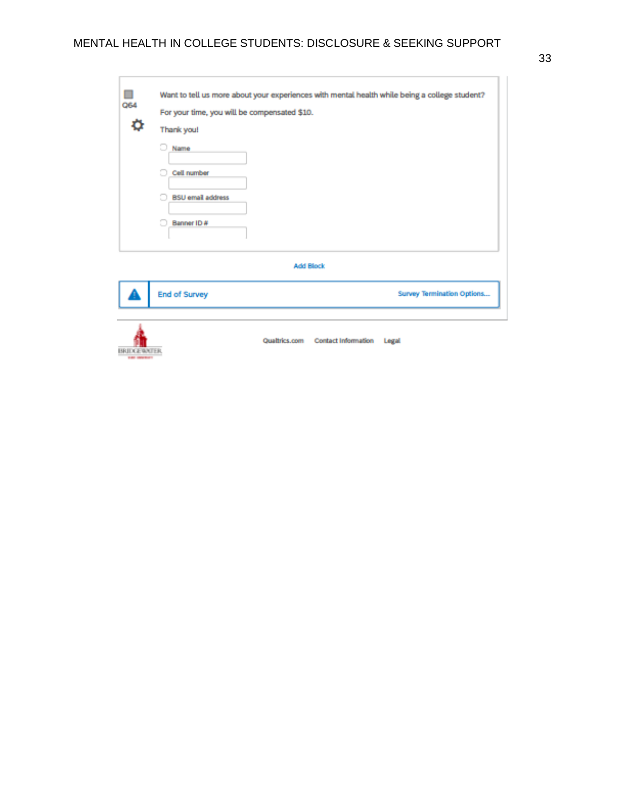| Q64<br>٥                                | For your time, you will be compensated \$10.<br>Thank you!<br>Name<br>Cell number<br><b>BSU</b> email address<br>Banner ID # |                                   | Want to tell us more about your experiences with mental health while being a college student? |
|-----------------------------------------|------------------------------------------------------------------------------------------------------------------------------|-----------------------------------|-----------------------------------------------------------------------------------------------|
|                                         |                                                                                                                              | <b>Add Block</b>                  |                                                                                               |
|                                         | <b>End of Survey</b>                                                                                                         |                                   | <b>Survey Termination Options</b>                                                             |
| <b>BRIDGEWATER</b><br><b>ELECT DOGS</b> |                                                                                                                              | Qualtrics.com Contact Information | Legal                                                                                         |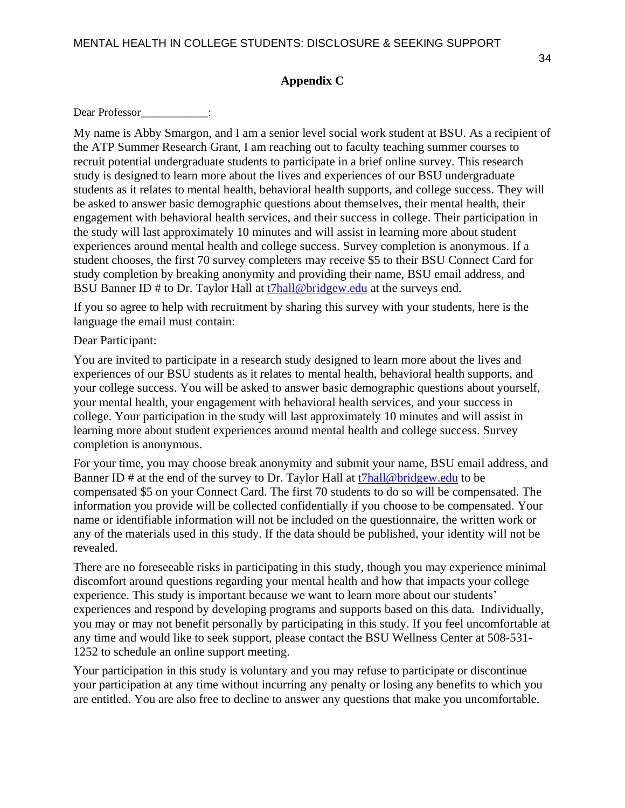### **Appendix C**

Dear Professor  $\qquad \qquad :$ 

My name is Abby Smargon, and I am a senior level social work student at BSU. As a recipient of the ATP Summer Research Grant, I am reaching out to faculty teaching summer courses to recruit potential undergraduate students to participate in a brief online survey. This research study is designed to learn more about the lives and experiences of our BSU undergraduate students as it relates to mental health, behavioral health supports, and college success. They will be asked to answer basic demographic questions about themselves, their mental health, their engagement with behavioral health services, and their success in college. Their participation in the study will last approximately 10 minutes and will assist in learning more about student experiences around mental health and college success. Survey completion is anonymous. If a student chooses, the first 70 survey completers may receive \$5 to their BSU Connect Card for study completion by breaking anonymity and providing their name, BSU email address, and BSU Banner ID # to Dr. Taylor Hall at [t7hall@bridgew.edu](mailto:t7hall@bridgew.edu) at the surveys end.

If you so agree to help with recruitment by sharing this survey with your students, here is the language the email must contain:

Dear Participant:

You are invited to participate in a research study designed to learn more about the lives and experiences of our BSU students as it relates to mental health, behavioral health supports, and your college success. You will be asked to answer basic demographic questions about yourself, your mental health, your engagement with behavioral health services, and your success in college. Your participation in the study will last approximately 10 minutes and will assist in learning more about student experiences around mental health and college success. Survey completion is anonymous.

For your time, you may choose break anonymity and submit your name, BSU email address, and Banner ID # at the end of the survey to Dr. Taylor Hall at [t7hall@bridgew.edu](mailto:t7hall@bridgew.edu) to be compensated \$5 on your Connect Card. The first 70 students to do so will be compensated. The information you provide will be collected confidentially if you choose to be compensated. Your name or identifiable information will not be included on the questionnaire, the written work or any of the materials used in this study. If the data should be published, your identity will not be revealed.

There are no foreseeable risks in participating in this study, though you may experience minimal discomfort around questions regarding your mental health and how that impacts your college experience. This study is important because we want to learn more about our students' experiences and respond by developing programs and supports based on this data. Individually, you may or may not benefit personally by participating in this study. If you feel uncomfortable at any time and would like to seek support, please contact the BSU Wellness Center at 508-531- 1252 to schedule an online support meeting.

Your participation in this study is voluntary and you may refuse to participate or discontinue your participation at any time without incurring any penalty or losing any benefits to which you are entitled. You are also free to decline to answer any questions that make you uncomfortable.